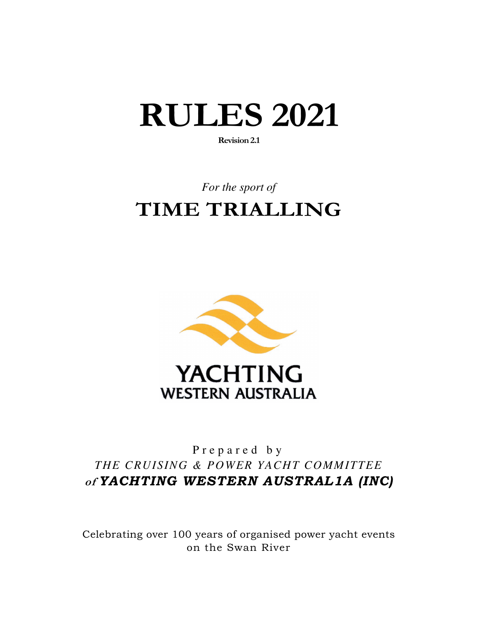# **RULES 2021**

**Revision 2.1** 

## *For the sport of*  **TIME TRIALLING**



## P r e p a r e d b y *THE CRUISING & POWER YACHT COMMITTEE* **of** *YACHTING WESTERN AUSTRAL1A (INC)*

Celebrating over 100 years of organised power yacht events on the Swan River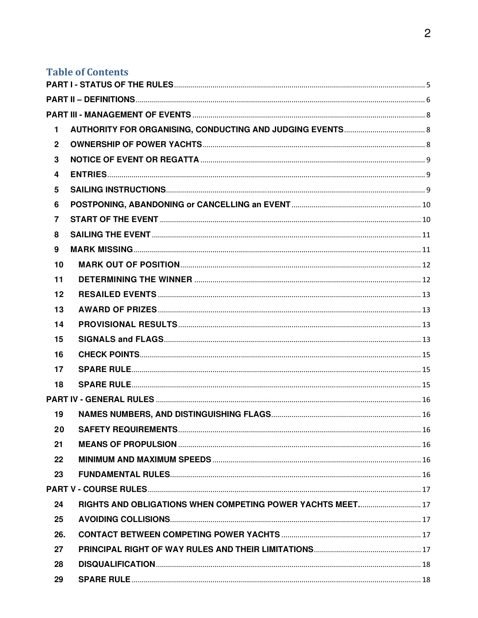## **Table of Contents**

| 1                       |                                                            |  |
|-------------------------|------------------------------------------------------------|--|
| $\overline{2}$          |                                                            |  |
| $\mathbf{3}$            |                                                            |  |
| $\overline{\mathbf{4}}$ |                                                            |  |
| 5                       |                                                            |  |
| 6                       |                                                            |  |
| $\overline{7}$          |                                                            |  |
| 8                       |                                                            |  |
| 9                       |                                                            |  |
| 10                      |                                                            |  |
| 11                      |                                                            |  |
| 12                      |                                                            |  |
| 13                      |                                                            |  |
| 14                      |                                                            |  |
| 15                      |                                                            |  |
| 16                      |                                                            |  |
| 17                      |                                                            |  |
| 18                      | <b>SPARE RULE</b>                                          |  |
|                         |                                                            |  |
| 19                      |                                                            |  |
| 20                      | <b>SAFETY REQUIREMENTS</b><br>$\sim$ 16                    |  |
| 21                      |                                                            |  |
| 22                      |                                                            |  |
| 23                      |                                                            |  |
|                         |                                                            |  |
| 24                      | RIGHTS AND OBLIGATIONS WHEN COMPETING POWER YACHTS MEET 17 |  |
| 25                      |                                                            |  |
| 26.                     |                                                            |  |
| 27                      |                                                            |  |
| 28                      |                                                            |  |
| 29                      |                                                            |  |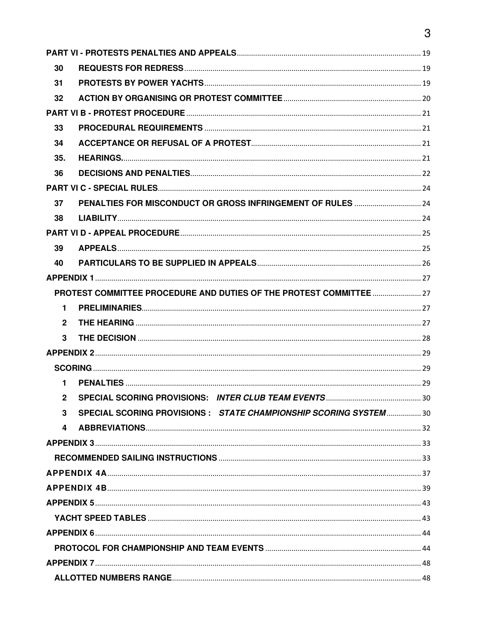| 30             |                                                                     |  |
|----------------|---------------------------------------------------------------------|--|
| 31             |                                                                     |  |
| 32             |                                                                     |  |
|                |                                                                     |  |
| 33             |                                                                     |  |
| 34             |                                                                     |  |
| 35.            |                                                                     |  |
| 36             |                                                                     |  |
|                |                                                                     |  |
| 37             | PENALTIES FOR MISCONDUCT OR GROSS INFRINGEMENT OF RULES  24         |  |
| 38             |                                                                     |  |
|                |                                                                     |  |
| 39             |                                                                     |  |
| 40             |                                                                     |  |
|                |                                                                     |  |
|                | PROTEST COMMITTEE PROCEDURE AND DUTIES OF THE PROTEST COMMITTEE  27 |  |
| $\mathbf{1}$   |                                                                     |  |
| $\overline{2}$ |                                                                     |  |
| 3              |                                                                     |  |
|                |                                                                     |  |
|                |                                                                     |  |
| $\mathbf{1}$   |                                                                     |  |
|                |                                                                     |  |
| 3              | SPECIAL SCORING PROVISIONS: STATE CHAMPIONSHIP SCORING SYSTEM30     |  |
| 4              |                                                                     |  |
|                |                                                                     |  |
|                |                                                                     |  |
|                |                                                                     |  |
|                |                                                                     |  |
|                |                                                                     |  |
|                |                                                                     |  |
|                |                                                                     |  |
|                |                                                                     |  |
|                |                                                                     |  |
|                |                                                                     |  |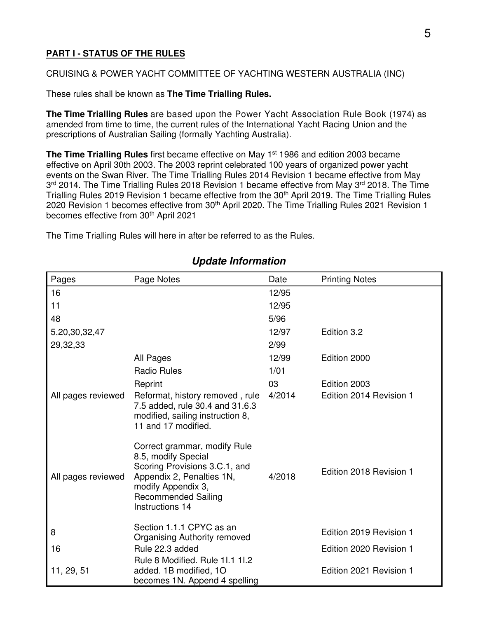#### **PART I - STATUS OF THE RULES**

#### CRUISING & POWER YACHT COMMITTEE OF YACHTING WESTERN AUSTRALIA (INC)

These rules shall be known as **The Time Trialling Rules.** 

**The Time Trialling Rules** are based upon the Power Yacht Association Rule Book (1974) as amended from time to time, the current rules of the International Yacht Racing Union and the prescriptions of Australian Sailing (formally Yachting Australia).

**The Time Trialling Rules** first became effective on May 1<sup>st</sup> 1986 and edition 2003 became effective on April 30th 2003. The 2003 reprint celebrated 100 years of organized power yacht events on the Swan River. The Time Trialling Rules 2014 Revision 1 became effective from May 3<sup>rd</sup> 2014. The Time Trialling Rules 2018 Revision 1 became effective from May 3<sup>rd</sup> 2018. The Time Trialling Rules 2019 Revision 1 became effective from the 30<sup>th</sup> April 2019. The Time Trialling Rules 2020 Revision 1 becomes effective from 30<sup>th</sup> April 2020. The Time Trialling Rules 2021 Revision 1 becomes effective from 30<sup>th</sup> April 2021

The Time Trialling Rules will here in after be referred to as the Rules.

| Pages              | Page Notes                                                                                                                                                                               | Date   | <b>Printing Notes</b>   |
|--------------------|------------------------------------------------------------------------------------------------------------------------------------------------------------------------------------------|--------|-------------------------|
| 16                 |                                                                                                                                                                                          | 12/95  |                         |
| 11                 |                                                                                                                                                                                          | 12/95  |                         |
| 48                 |                                                                                                                                                                                          | 5/96   |                         |
| 5,20,30,32,47      |                                                                                                                                                                                          | 12/97  | Edition 3.2             |
| 29,32,33           |                                                                                                                                                                                          | 2/99   |                         |
|                    | All Pages                                                                                                                                                                                | 12/99  | Edition 2000            |
|                    | <b>Radio Rules</b>                                                                                                                                                                       | 1/01   |                         |
|                    | Reprint                                                                                                                                                                                  | 03     | Edition 2003            |
| All pages reviewed | Reformat, history removed, rule<br>7.5 added, rule 30.4 and 31.6.3<br>modified, sailing instruction 8,<br>11 and 17 modified.                                                            | 4/2014 | Edition 2014 Revision 1 |
| All pages reviewed | Correct grammar, modify Rule<br>8.5, modify Special<br>Scoring Provisions 3.C.1, and<br>Appendix 2, Penalties 1N,<br>modify Appendix 3,<br><b>Recommended Sailing</b><br>Instructions 14 | 4/2018 | Edition 2018 Revision 1 |
| 8                  | Section 1.1.1 CPYC as an<br>Organising Authority removed                                                                                                                                 |        | Edition 2019 Revision 1 |
| 16                 | Rule 22.3 added                                                                                                                                                                          |        | Edition 2020 Revision 1 |
| 11, 29, 51         | Rule 8 Modified. Rule 11.1 11.2<br>added. 1B modified, 1O<br>becomes 1N. Append 4 spelling                                                                                               |        | Edition 2021 Revision 1 |

## **Update Information**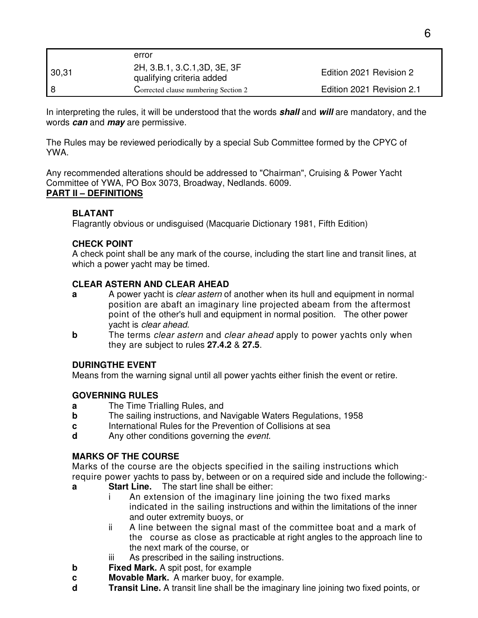|       | error                                                     |                           |
|-------|-----------------------------------------------------------|---------------------------|
| 30,31 | 2H, 3.B.1, 3.C.1, 3D, 3E, 3F<br>qualifying criteria added | Edition 2021 Revision 2   |
| l 8   | Corrected clause numbering Section 2                      | Edition 2021 Revision 2.1 |

In interpreting the rules, it will be understood that the words **shall** and **will** are mandatory, and the words **can** and **may** are permissive.

The Rules may be reviewed periodically by a special Sub Committee formed by the CPYC of YWA.

Any recommended alterations should be addressed to "Chairman", Cruising & Power Yacht Committee of YWA, PO Box 3073, Broadway, Nedlands. 6009. **PART II – DEFINITIONS**

#### **BLATANT**

Flagrantly obvious or undisguised (Macquarie Dictionary 1981, Fifth Edition)

#### **CHECK POINT**

A check point shall be any mark of the course, including the start line and transit lines, at which a power yacht may be timed.

#### **CLEAR ASTERN AND CLEAR AHEAD**

- **a** A power yacht is *clear astern* of another when its hull and equipment in normal position are abaft an imaginary line projected abeam from the aftermost point of the other's hull and equipment in normal position. The other power yacht is clear ahead.
- **b** The terms clear astern and clear ahead apply to power yachts only when they are subject to rules **27.4.2** & **27.5**.

#### **DURINGTHE EVENT**

Means from the warning signal until all power yachts either finish the event or retire.

#### **GOVERNING RULES**

- **a** The Time Trialling Rules, and
- **b** The sailing instructions, and Navigable Waters Regulations, 1958
- **c** International Rules for the Prevention of Collisions at sea
- **d** Any other conditions governing the event.

#### **MARKS OF THE COURSE**

Marks of the course are the objects specified in the sailing instructions which require power yachts to pass by, between or on a required side and include the following:-

- **a Start Line.** The start line shall be either:
	- i An extension of the imaginary line joining the two fixed marks indicated in the sailing instructions and within the limitations of the inner and outer extremity buoys, or
	- ii A line between the signal mast of the committee boat and a mark of the course as close as practicable at right angles to the approach line to the next mark of the course, or
	- iii As prescribed in the sailing instructions.
- **b** Fixed Mark. A spit post, for example
- **c Movable Mark.** A marker buoy, for example.
- **d Transit Line.** A transit line shall be the imaginary line joining two fixed points, or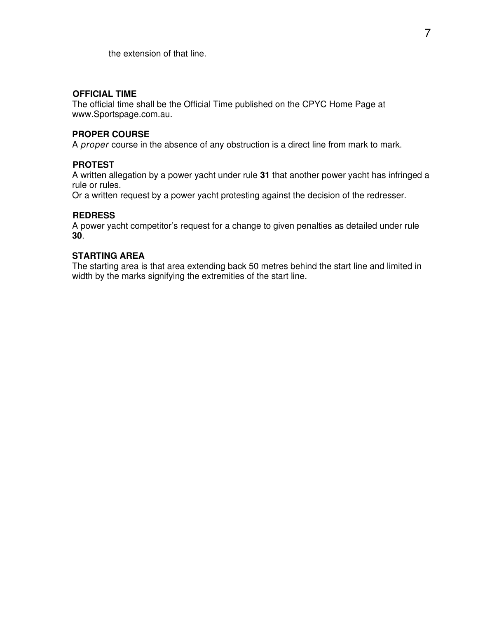the extension of that line.

#### **OFFICIAL TIME**

The official time shall be the Official Time published on the CPYC Home Page at www.Sportspage.com.au.

#### **PROPER COURSE**

A proper course in the absence of any obstruction is a direct line from mark to mark.

#### **PROTEST**

A written allegation by a power yacht under rule **31** that another power yacht has infringed a rule or rules.

Or a written request by a power yacht protesting against the decision of the redresser.

#### **REDRESS**

A power yacht competitor's request for a change to given penalties as detailed under rule **30**.

#### **STARTING AREA**

The starting area is that area extending back 50 metres behind the start line and limited in width by the marks signifying the extremities of the start line.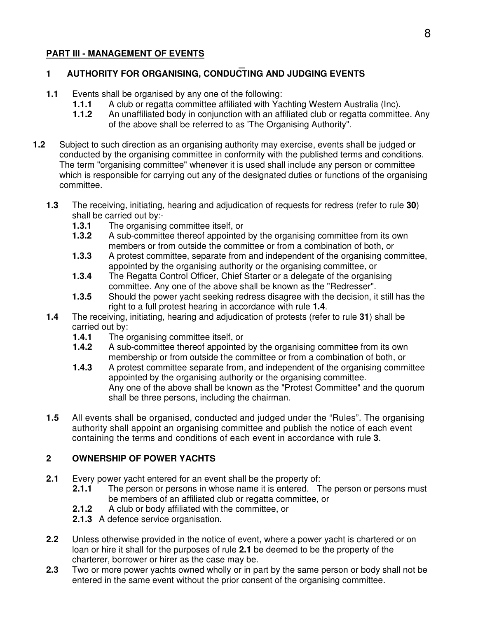## **PART III - MANAGEMENT OF EVENTS**

#### $\overline{a}$ **1 AUTHORITY FOR ORGANISING, CONDUCTING AND JUDGING EVENTS**

- **1.1** Events shall be organised by any one of the following:
	- **1.1.1** A club or regatta committee affiliated with Yachting Western Australia (Inc).
	- **1.1.2** An unaffiliated body in conjunction with an affiliated club or regatta committee. Any of the above shall be referred to as 'The Organising Authority".
- **1.2** Subject to such direction as an organising authority may exercise, events shall be judged or conducted by the organising committee in conformity with the published terms and conditions. The term "organising committee" whenever it is used shall include any person or committee which is responsible for carrying out any of the designated duties or functions of the organising committee.
	- **1.3** The receiving, initiating, hearing and adjudication of requests for redress (refer to rule **30**) shall be carried out by:-
		- **1.3.1** The organising committee itself, or
		- **1.3.2** A sub-committee thereof appointed by the organising committee from its own members or from outside the committee or from a combination of both, or
		- **1.3.3** A protest committee, separate from and independent of the organising committee, appointed by the organising authority or the organising committee, or
		- **1.3.4** The Regatta Control Officer, Chief Starter or a delegate of the organising committee. Any one of the above shall be known as the "Redresser".
		- **1.3.5** Should the power yacht seeking redress disagree with the decision, it still has the right to a full protest hearing in accordance with rule **1.4**.
	- **1.4** The receiving, initiating, hearing and adjudication of protests (refer to rule **31**) shall be carried out by:
		- **1.4.1** The organising committee itself, or
		- **1.4.2** A sub-committee thereof appointed by the organising committee from its own membership or from outside the committee or from a combination of both, or
		- **1.4.3** A protest committee separate from, and independent of the organising committee appointed by the organising authority or the organising committee. Any one of the above shall be known as the "Protest Committee" and the quorum shall be three persons, including the chairman.
	- **1.5** All events shall be organised, conducted and judged under the "Rules". The organising authority shall appoint an organising committee and publish the notice of each event containing the terms and conditions of each event in accordance with rule **3**.

#### **2 OWNERSHIP OF POWER YACHTS**

- **2.1** Every power yacht entered for an event shall be the property of:
	- **2.1.1** The person or persons in whose name it is entered. The person or persons must be members of an affiliated club or regatta committee, or
	- **2.1.2** A club or body affiliated with the committee, or
	- **2.1.3** A defence service organisation.
- **2.2** Unless otherwise provided in the notice of event, where a power yacht is chartered or on loan or hire it shall for the purposes of rule **2.1** be deemed to be the property of the charterer, borrower or hirer as the case may be.
- **2.3** Two or more power yachts owned wholly or in part by the same person or body shall not be entered in the same event without the prior consent of the organising committee.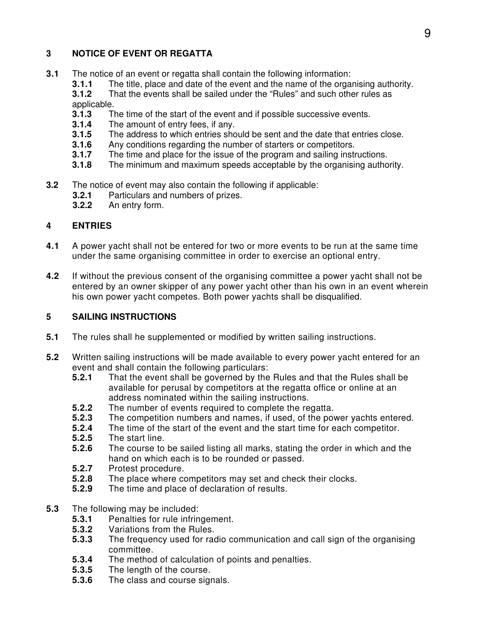## **3 NOTICE OF EVENT OR REGATTA**

- **3.1** The notice of an event or regatta shall contain the following information:
	- **3.1.1** The title, place and date of the event and the name of the organising authority.<br>**3.1.2** That the events shall be sailed under the "Rules" and such other rules as
		- **3.1.2** That the events shall be sailed under the "Rules" and such other rules as applicable.
		- **3.1.3** The time of the start of the event and if possible successive events.
		- **3.1.4** The amount of entry fees, if any.
		- **3.1.5** The address to which entries should be sent and the date that entries close.
		- **3.1.6** Any conditions regarding the number of starters or competitors.
		- **3.1.7** The time and place for the issue of the program and sailing instructions.
		- **3.1.8** The minimum and maximum speeds acceptable by the organising authority.
- **3.2** The notice of event may also contain the following if applicable:
	- **3.2.1** Particulars and numbers of prizes.
	- **3.2.2** An entry form.

## **4 ENTRIES**

- **4.1** A power yacht shall not be entered for two or more events to be run at the same time under the same organising committee in order to exercise an optional entry.
- **4.2** If without the previous consent of the organising committee a power yacht shall not be entered by an owner skipper of any power yacht other than his own in an event wherein his own power yacht competes. Both power yachts shall be disqualified.

## **5 SAILING INSTRUCTIONS**

- **5.1** The rules shall he supplemented or modified by written sailing instructions.
- **5.2** Written sailing instructions will be made available to every power yacht entered for an event and shall contain the following particulars:
	- **5.2.1** That the event shall be governed by the Rules and that the Rules shall be available for perusal by competitors at the regatta office or online at an address nominated within the sailing instructions.
	- **5.2.2** The number of events required to complete the regatta.<br>**5.2.3** The competition numbers and names, if used, of the pow
	- **5.2.3** The competition numbers and names, if used, of the power yachts entered.
	- **5.2.4** The time of the start of the event and the start time for each competitor.<br>**5.2.5** The start line.
	- **5.2.5** The start line.
	- **5.2.6** The course to be sailed listing all marks, stating the order in which and the hand on which each is to be rounded or passed.
	- **5.2.7** Protest procedure.
	- **5.2.8** The place where competitors may set and check their clocks.
	- **5.2.9** The time and place of declaration of results.
- **5.3** The following may be included:
	- **5.3.1** Penalties for rule infringement.
	- **5.3.2** Variations from the Rules.
	- **5.3.3** The frequency used for radio communication and call sign of the organising committee.
	- **5.3.4** The method of calculation of points and penalties.
	- **5.3.5** The length of the course.<br>**5.3.6** The class and course sign
	- **5.3.6** The class and course signals.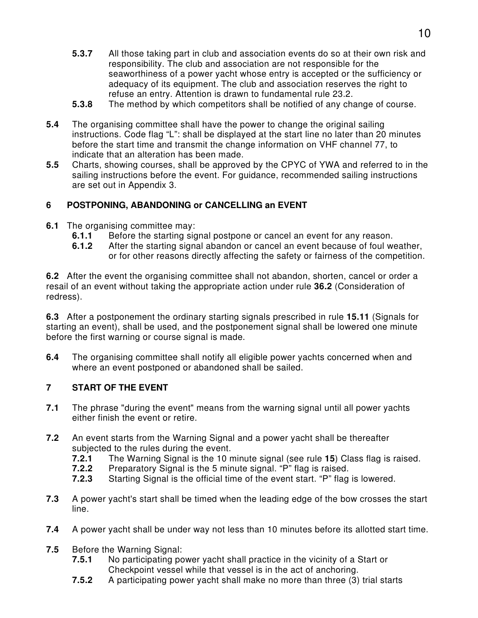- **5.3.7** All those taking part in club and association events do so at their own risk and responsibility. The club and association are not responsible for the seaworthiness of a power yacht whose entry is accepted or the sufficiency or adequacy of its equipment. The club and association reserves the right to refuse an entry. Attention is drawn to fundamental rule 23.2.
- **5.3.8** The method by which competitors shall be notified of any change of course.
- **5.4** The organising committee shall have the power to change the original sailing instructions. Code flag "L": shall be displayed at the start line no later than 20 minutes before the start time and transmit the change information on VHF channel 77, to indicate that an alteration has been made.
- **5.5** Charts, showing courses, shall be approved by the CPYC of YWA and referred to in the sailing instructions before the event. For guidance, recommended sailing instructions are set out in Appendix 3.

#### **6 POSTPONING, ABANDONING or CANCELLING an EVENT**

- **6.1** The organising committee may:
	- **6.1.1** Before the starting signal postpone or cancel an event for any reason.
	- **6.1.2** After the starting signal abandon or cancel an event because of foul weather, or for other reasons directly affecting the safety or fairness of the competition.

**6.2** After the event the organising committee shall not abandon, shorten, cancel or order a resail of an event without taking the appropriate action under rule **36.2** (Consideration of redress).

**6.3** After a postponement the ordinary starting signals prescribed in rule **15.11** (Signals for starting an event), shall be used, and the postponement signal shall be lowered one minute before the first warning or course signal is made.

**6.4** The organising committee shall notify all eligible power yachts concerned when and where an event postponed or abandoned shall be sailed.

#### **7 START OF THE EVENT**

- **7.1** The phrase "during the event" means from the warning signal until all power yachts either finish the event or retire.
- **7.2** An event starts from the Warning Signal and a power yacht shall be thereafter subjected to the rules during the event.
	- **7.2.1** The Warning Signal is the 10 minute signal (see rule **15**) Class flag is raised.
	- **7.2.2** Preparatory Signal is the 5 minute signal. "P" flag is raised.
	- **7.2.3** Starting Signal is the official time of the event start. "P" flag is lowered.
- **7.3** A power yacht's start shall be timed when the leading edge of the bow crosses the start line.
- **7.4** A power yacht shall be under way not less than 10 minutes before its allotted start time.
- **7.5** Before the Warning Signal:
	- **7.5.1** No participating power yacht shall practice in the vicinity of a Start or Checkpoint vessel while that vessel is in the act of anchoring.
	- **7.5.2** A participating power yacht shall make no more than three (3) trial starts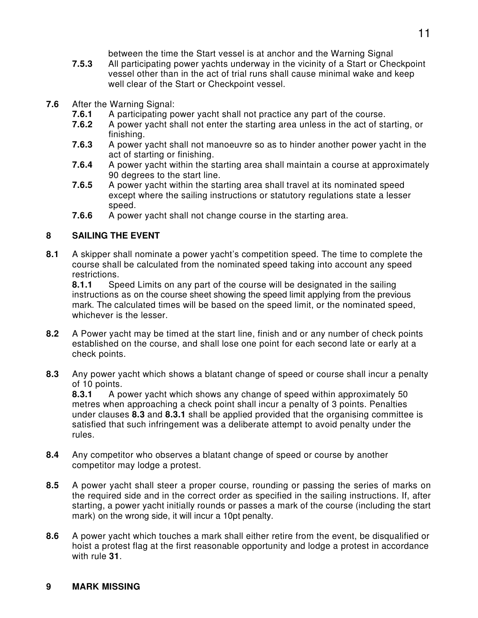between the time the Start vessel is at anchor and the Warning Signal

- **7.5.3** All participating power yachts underway in the vicinity of a Start or Checkpoint vessel other than in the act of trial runs shall cause minimal wake and keep well clear of the Start or Checkpoint vessel.
- **7.6** After the Warning Signal:
	- **7.6.1** A participating power yacht shall not practice any part of the course.
	- **7.6.2** A power yacht shall not enter the starting area unless in the act of starting, or finishing.
	- **7.6.3** A power yacht shall not manoeuvre so as to hinder another power yacht in the act of starting or finishing.
	- **7.6.4** A power yacht within the starting area shall maintain a course at approximately 90 degrees to the start line.
	- **7.6.5** A power yacht within the starting area shall travel at its nominated speed except where the sailing instructions or statutory regulations state a lesser speed.
	- **7.6.6** A power yacht shall not change course in the starting area.

## **8 SAILING THE EVENT**

**8.1** A skipper shall nominate a power yacht's competition speed. The time to complete the course shall be calculated from the nominated speed taking into account any speed restrictions.

 **8.1.1** Speed Limits on any part of the course will be designated in the sailing instructions as on the course sheet showing the speed limit applying from the previous mark. The calculated times will be based on the speed limit, or the nominated speed, whichever is the lesser.

- **8.2** A Power yacht may be timed at the start line, finish and or any number of check points established on the course, and shall lose one point for each second late or early at a check points.
- **8.3** Any power yacht which shows a blatant change of speed or course shall incur a penalty of 10 points.

 **8.3.1** A power yacht which shows any change of speed within approximately 50 metres when approaching a check point shall incur a penalty of 3 points. Penalties under clauses **8.3** and **8.3.1** shall be applied provided that the organising committee is satisfied that such infringement was a deliberate attempt to avoid penalty under the rules.

- **8.4** Any competitor who observes a blatant change of speed or course by another competitor may lodge a protest.
- **8.5** A power yacht shall steer a proper course, rounding or passing the series of marks on the required side and in the correct order as specified in the sailing instructions. If, after starting, a power yacht initially rounds or passes a mark of the course (including the start mark) on the wrong side, it will incur a 10pt penalty.
- **8.6** A power yacht which touches a mark shall either retire from the event, be disqualified or hoist a protest flag at the first reasonable opportunity and lodge a protest in accordance with rule **31**.

#### **9 MARK MISSING**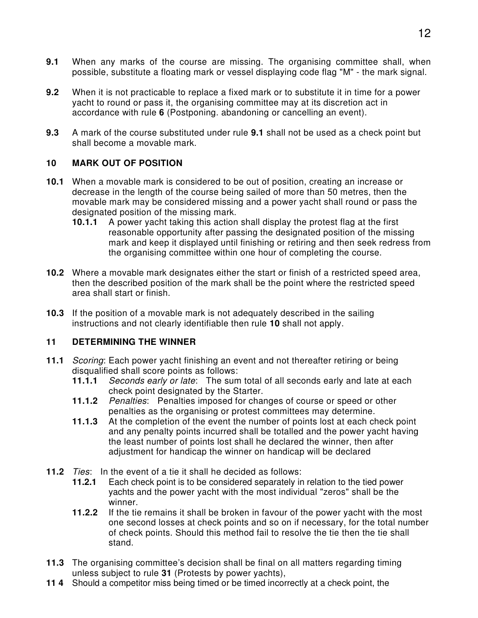- **9.1** When any marks of the course are missing. The organising committee shall, when possible, substitute a floating mark or vessel displaying code flag "M" - the mark signal.
- **9.2** When it is not practicable to replace a fixed mark or to substitute it in time for a power yacht to round or pass it, the organising committee may at its discretion act in accordance with rule **6** (Postponing. abandoning or cancelling an event).
- **9.3** A mark of the course substituted under rule **9.1** shall not be used as a check point but shall become a movable mark.

#### **10 MARK OUT OF POSITION**

- **10.1** When a movable mark is considered to be out of position, creating an increase or decrease in the length of the course being sailed of more than 50 metres, then the movable mark may be considered missing and a power yacht shall round or pass the designated position of the missing mark.
	- **10.1.1** A power yacht taking this action shall display the protest flag at the first reasonable opportunity after passing the designated position of the missing mark and keep it displayed until finishing or retiring and then seek redress from the organising committee within one hour of completing the course.
- **10.2** Where a movable mark designates either the start or finish of a restricted speed area, then the described position of the mark shall be the point where the restricted speed area shall start or finish.
- **10.3** If the position of a movable mark is not adequately described in the sailing instructions and not clearly identifiable then rule **10** shall not apply.

#### **11 DETERMINING THE WINNER**

- **11.1** Scoring: Each power yacht finishing an event and not thereafter retiring or being disqualified shall score points as follows:
	- **11.1.1** Seconds early or late: The sum total of all seconds early and late at each check point designated by the Starter.
	- **11.1.2** Penalties: Penalties imposed for changes of course or speed or other penalties as the organising or protest committees may determine.
	- **11.1.3** At the completion of the event the number of points lost at each check point and any penalty points incurred shall be totalled and the power yacht having the least number of points lost shall he declared the winner, then after adjustment for handicap the winner on handicap will be declared
- **11.2** Ties: In the event of a tie it shall he decided as follows:
	- **11.2.1** Each check point is to be considered separately in relation to the tied power yachts and the power yacht with the most individual "zeros" shall be the winner.
	- **11.2.2** If the tie remains it shall be broken in favour of the power yacht with the most one second losses at check points and so on if necessary, for the total number of check points. Should this method fail to resolve the tie then the tie shall stand.
- **11.3** The organising committee's decision shall be final on all matters regarding timing unless subject to rule **31** (Protests by power yachts),
- **11 4** Should a competitor miss being timed or be timed incorrectly at a check point, the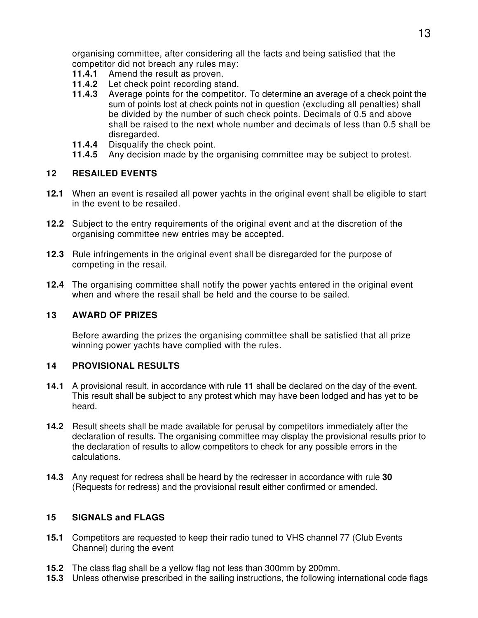organising committee, after considering all the facts and being satisfied that the competitor did not breach any rules may:

- **11.4.1** Amend the result as proven.
- **11.4.2** Let check point recording stand.
- **11.4.3** Average points for the competitor. To determine an average of a check point the sum of points lost at check points not in question (excluding all penalties) shall be divided by the number of such check points. Decimals of 0.5 and above shall be raised to the next whole number and decimals of less than 0.5 shall be disregarded.
- **11.4.4** Disqualify the check point.
- **11.4.5** Any decision made by the organising committee may be subject to protest.

#### **12 RESAILED EVENTS**

- **12.1** When an event is resailed all power yachts in the original event shall be eligible to start in the event to be resailed.
- **12.2** Subject to the entry requirements of the original event and at the discretion of the organising committee new entries may be accepted.
- **12.3** Rule infringements in the original event shall be disregarded for the purpose of competing in the resail.
- **12.4** The organising committee shall notify the power yachts entered in the original event when and where the resail shall be held and the course to be sailed.

#### **13 AWARD OF PRIZES**

 Before awarding the prizes the organising committee shall be satisfied that all prize winning power yachts have complied with the rules.

#### **14 PROVISIONAL RESULTS**

- **14.1** A provisional result, in accordance with rule **11** shall be declared on the day of the event. This result shall be subject to any protest which may have been lodged and has yet to be heard.
- **14.2** Result sheets shall be made available for perusal by competitors immediately after the declaration of results. The organising committee may display the provisional results prior to the declaration of results to allow competitors to check for any possible errors in the calculations.
- **14.3** Any request for redress shall be heard by the redresser in accordance with rule **30** (Requests for redress) and the provisional result either confirmed or amended.

#### **15 SIGNALS and FLAGS**

- **15.1** Competitors are requested to keep their radio tuned to VHS channel 77 (Club Events Channel) during the event
- **15.2** The class flag shall be a yellow flag not less than 300mm by 200mm.
- **15.3** Unless otherwise prescribed in the sailing instructions, the following international code flags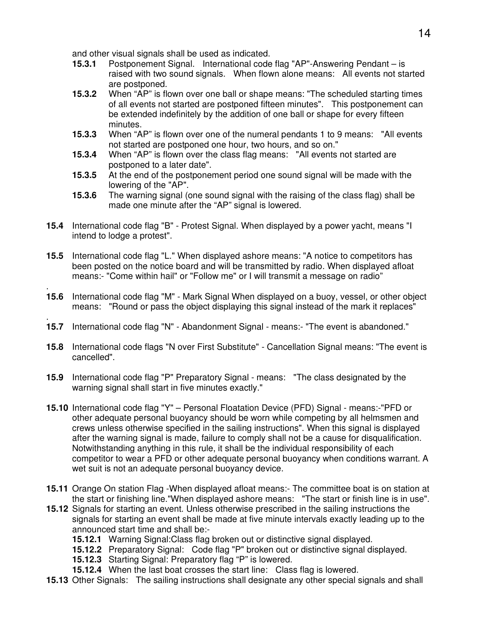and other visual signals shall be used as indicated.

- **15.3.1** Postponement Signal. International code flag "AP"-Answering Pendant is raised with two sound signals. When flown alone means: All events not started are postponed.
- **15.3.2** When "AP" is flown over one ball or shape means: "The scheduled starting times of all events not started are postponed fifteen minutes". This postponement can be extended indefinitely by the addition of one ball or shape for every fifteen minutes.
- **15.3.3** When "AP" is flown over one of the numeral pendants 1 to 9 means: "All events not started are postponed one hour, two hours, and so on."
- **15.3.4** When "AP" is flown over the class flag means: "All events not started are postponed to a later date".
- **15.3.5** At the end of the postponement period one sound signal will be made with the lowering of the "AP".
- **15.3.6** The warning signal (one sound signal with the raising of the class flag) shall be made one minute after the "AP" signal is lowered.
- **15.4** International code flag "B" Protest Signal. When displayed by a power yacht, means "I intend to lodge a protest".
- **15.5** International code flag "L." When displayed ashore means: "A notice to competitors has been posted on the notice board and will be transmitted by radio. When displayed afloat means:- "Come within hail" or "Follow me" or I will transmit a message on radio"
- . **15.6** International code flag "M" - Mark Signal When displayed on a buoy, vessel, or other object means: "Round or pass the object displaying this signal instead of the mark it replaces"
- . **15.7** International code flag "N" - Abandonment Signal - means:- "The event is abandoned."
- **15.8** International code flags "N over First Substitute" Cancellation Signal means: "The event is cancelled".
- **15.9** International code flag "P" Preparatory Signal means: "The class designated by the warning signal shall start in five minutes exactly."
- **15.10** International code flag "Y" Personal Floatation Device (PFD) Signal means:-"PFD or other adequate personal buoyancy should be worn while competing by all helmsmen and crews unless otherwise specified in the sailing instructions". When this signal is displayed after the warning signal is made, failure to comply shall not be a cause for disqualification. Notwithstanding anything in this rule, it shall be the individual responsibility of each competitor to wear a PFD or other adequate personal buoyancy when conditions warrant. A wet suit is not an adequate personal buoyancy device.
- **15.11** Orange On station Flag -When displayed afloat means:- The committee boat is on station at the start or finishing line."When displayed ashore means: "The start or finish line is in use".
- **15.12** Signals for starting an event. Unless otherwise prescribed in the sailing instructions the signals for starting an event shall be made at five minute intervals exactly leading up to the announced start time and shall be:-
	- **15.12.1** Warning Signal: Class flag broken out or distinctive signal displayed.
	- **15.12.2** Preparatory Signal: Code flag "P" broken out or distinctive signal displayed.
	- **15.12.3** Starting Signal: Preparatory flag "P" is lowered.
	- **15.12.4** When the last boat crosses the start line: Class flag is lowered.
- **15.13** Other Signals: The sailing instructions shall designate any other special signals and shall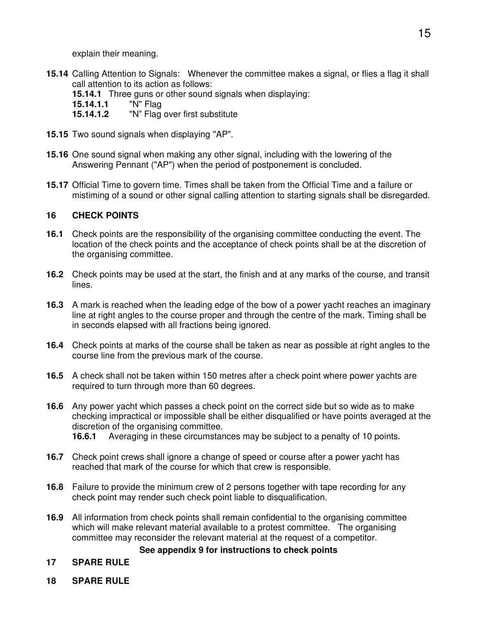explain their meaning.

- **15.14** Calling Attention to Signals: Whenever the committee makes a signal, or flies a flag it shall call attention to its action as follows:
	- **15.14.1** Three guns or other sound signals when displaying:<br>**15.14.1.1** "N" Flag
	- **15.14.1.1**
	- **15.14.1.2** "N" Flag over first substitute
- **15.15** Two sound signals when displaying ''AP".
- **15.16** One sound signal when making any other signal, including with the lowering of the Answering Pennant ("AP") when the period of postponement is concluded.
- **15.17** Official Time to govern time. Times shall be taken from the Official Time and a failure or mistiming of a sound or other signal calling attention to starting signals shall be disregarded.

## **16 CHECK POINTS**

- **16.1** Check points are the responsibility of the organising committee conducting the event. The location of the check points and the acceptance of check points shall be at the discretion of the organising committee.
- **16.2** Check points may be used at the start, the finish and at any marks of the course, and transit lines.
- **16.3** A mark is reached when the leading edge of the bow of a power yacht reaches an imaginary line at right angles to the course proper and through the centre of the mark. Timing shall be in seconds elapsed with all fractions being ignored.
- **16.4** Check points at marks of the course shall be taken as near as possible at right angles to the course line from the previous mark of the course.
- **16.5** A check shall not be taken within 150 metres after a check point where power yachts are required to turn through more than 60 degrees.
- **16.6** Any power yacht which passes a check point on the correct side but so wide as to make checking impractical or impossible shall be either disqualified or have points averaged at the discretion of the organising committee. **16.6.1** Averaging in these circumstances may be subject to a penalty of 10 points.
	-
- **16.7** Check point crews shall ignore a change of speed or course after a power yacht has reached that mark of the course for which that crew is responsible.
- **16.8** Failure to provide the minimum crew of 2 persons together with tape recording for any check point may render such check point liable to disqualification.
- **16.9** All information from check points shall remain confidential to the organising committee which will make relevant material available to a protest committee. The organising committee may reconsider the relevant material at the request of a competitor.

#### **See appendix 9 for instructions to check points**

#### **17 SPARE RULE**

**18 SPARE RULE**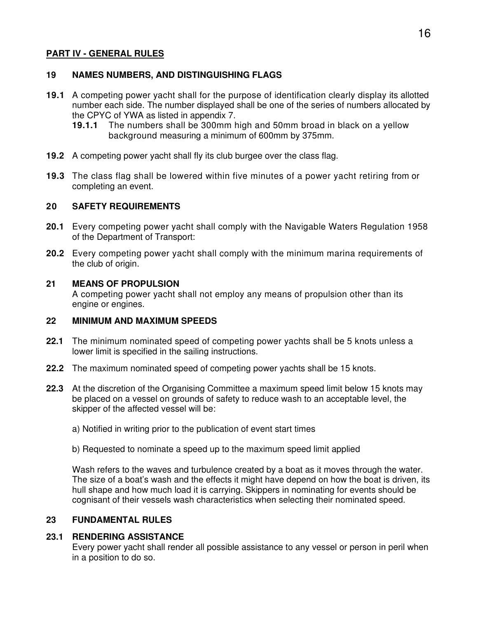#### **PART IV - GENERAL RULES**

#### **19 NAMES NUMBERS, AND DISTINGUISHING FLAGS**

- **19.1** A competing power yacht shall for the purpose of identification clearly display its allotted number each side. The number displayed shall be one of the series of numbers allocated by the CPYC of YWA as listed in appendix 7.
	- **19.1.1** The numbers shall be 300mm high and 50mm broad in black on a yellow background measuring a minimum of 600mm by 375mm.
- **19.2** A competing power yacht shall fly its club burgee over the class flag.
- **19.3** The class flag shall be lowered within five minutes of a power yacht retiring from or completing an event.

#### **20 SAFETY REQUIREMENTS**

- **20.1** Every competing power yacht shall comply with the Navigable Waters Regulation 1958 of the Department of Transport:
- **20.2** Every competing power yacht shall comply with the minimum marina requirements of the club of origin.

#### **21 MEANS OF PROPULSION**

A competing power yacht shall not employ any means of propulsion other than its engine or engines.

#### **22 MINIMUM AND MAXIMUM SPEEDS**

- **22.1** The minimum nominated speed of competing power yachts shall be 5 knots unless a lower limit is specified in the sailing instructions.
- **22.2** The maximum nominated speed of competing power yachts shall be 15 knots.
- **22.3** At the discretion of the Organising Committee a maximum speed limit below 15 knots may be placed on a vessel on grounds of safety to reduce wash to an acceptable level, the skipper of the affected vessel will be:
	- a) Notified in writing prior to the publication of event start times
	- b) Requested to nominate a speed up to the maximum speed limit applied

Wash refers to the waves and turbulence created by a boat as it moves through the water. The size of a boat's wash and the effects it might have depend on how the boat is driven, its hull shape and how much load it is carrying. Skippers in nominating for events should be cognisant of their vessels wash characteristics when selecting their nominated speed.

#### **23 FUNDAMENTAL RULES**

#### **23.1 RENDERING ASSISTANCE**

Every power yacht shall render all possible assistance to any vessel or person in peril when in a position to do so.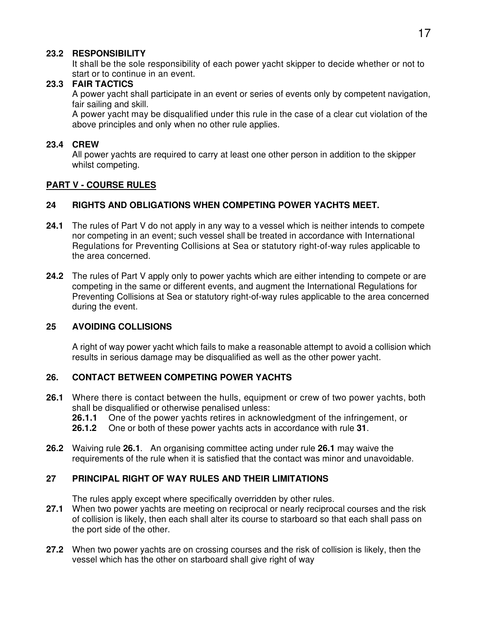#### **23.2 RESPONSIBILITY**

It shall be the sole responsibility of each power yacht skipper to decide whether or not to start or to continue in an event.

#### **23.3 FAIR TACTICS**

A power yacht shall participate in an event or series of events only by competent navigation, fair sailing and skill.

A power yacht may be disqualified under this rule in the case of a clear cut violation of the above principles and only when no other rule applies.

#### **23.4 CREW**

All power yachts are required to carry at least one other person in addition to the skipper whilst competing.

## **PART V - COURSE RULES**

#### **24 RIGHTS AND OBLIGATIONS WHEN COMPETING POWER YACHTS MEET.**

- **24.1** The rules of Part V do not apply in any way to a vessel which is neither intends to compete nor competing in an event; such vessel shall be treated in accordance with International Regulations for Preventing Collisions at Sea or statutory right-of-way rules applicable to the area concerned.
- **24.2** The rules of Part V apply only to power yachts which are either intending to compete or are competing in the same or different events, and augment the International Regulations for Preventing Collisions at Sea or statutory right-of-way rules applicable to the area concerned during the event.

#### **25 AVOIDING COLLISIONS**

A right of way power yacht which fails to make a reasonable attempt to avoid a collision which results in serious damage may be disqualified as well as the other power yacht.

#### **26. CONTACT BETWEEN COMPETING POWER YACHTS**

- **26.1** Where there is contact between the hulls, equipment or crew of two power yachts, both shall be disqualified or otherwise penalised unless:
	- **26.1.1** One of the power yachts retires in acknowledgment of the infringement, or
	- **26.1.2** One or both of these power yachts acts in accordance with rule **31**.
- **26.2** Waiving rule **26.1**. An organising committee acting under rule **26.1** may waive the requirements of the rule when it is satisfied that the contact was minor and unavoidable.

#### **27 PRINCIPAL RIGHT OF WAY RULES AND THEIR LIMITATIONS**

The rules apply except where specifically overridden by other rules.

- **27.1** When two power yachts are meeting on reciprocal or nearly reciprocal courses and the risk of collision is likely, then each shall alter its course to starboard so that each shall pass on the port side of the other.
- **27.2** When two power yachts are on crossing courses and the risk of collision is likely, then the vessel which has the other on starboard shall give right of way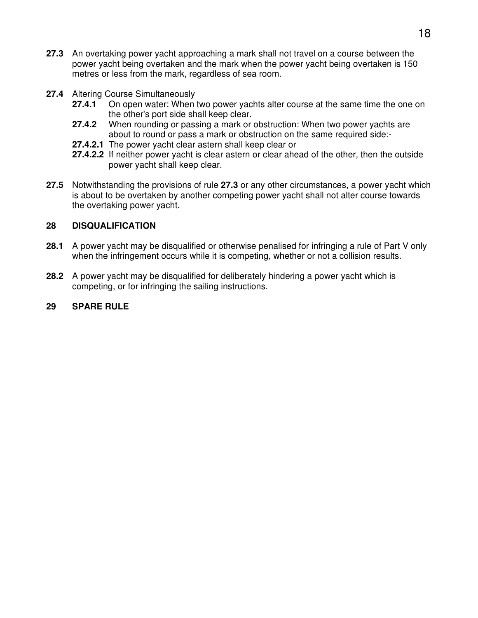- **27.3** An overtaking power yacht approaching a mark shall not travel on a course between the power yacht being overtaken and the mark when the power yacht being overtaken is 150 metres or less from the mark, regardless of sea room.
- **27.4** Altering Course Simultaneously
	- **27.4.1** On open water: When two power yachts alter course at the same time the one on the other's port side shall keep clear.
	- **27.4.2** When rounding or passing a mark or obstruction: When two power yachts are about to round or pass a mark or obstruction on the same required side:-
	- **27.4.2.1** The power yacht clear astern shall keep clear or
	- **27.4.2.2** If neither power yacht is clear astern or clear ahead of the other, then the outside power yacht shall keep clear.
- **27.5** Notwithstanding the provisions of rule **27.3** or any other circumstances, a power yacht which is about to be overtaken by another competing power yacht shall not alter course towards the overtaking power yacht.

#### **28 DISQUALIFICATION**

- **28.1** A power yacht may be disqualified or otherwise penalised for infringing a rule of Part V only when the infringement occurs while it is competing, whether or not a collision results.
- **28.2** A power yacht may be disqualified for deliberately hindering a power yacht which is competing, or for infringing the sailing instructions.
- **29 SPARE RULE**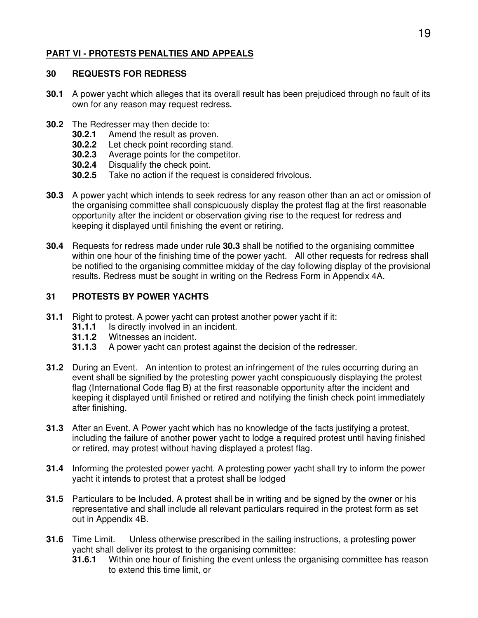## **PART VI - PROTESTS PENALTIES AND APPEALS**

#### **30 REQUESTS FOR REDRESS**

- **30.1** A power yacht which alleges that its overall result has been prejudiced through no fault of its own for any reason may request redress.
- **30.2** The Redresser may then decide to:
	- **30.2.1** Amend the result as proven.
	- **30.2.2** Let check point recording stand.
	- **30.2.3** Average points for the competitor.
	- **30.2.4** Disqualify the check point.
	- **30.2.5** Take no action if the request is considered frivolous.
- **30.3** A power yacht which intends to seek redress for any reason other than an act or omission of the organising committee shall conspicuously display the protest flag at the first reasonable opportunity after the incident or observation giving rise to the request for redress and keeping it displayed until finishing the event or retiring.
- **30.4** Requests for redress made under rule **30.3** shall be notified to the organising committee within one hour of the finishing time of the power yacht. All other requests for redress shall be notified to the organising committee midday of the day following display of the provisional results. Redress must be sought in writing on the Redress Form in Appendix 4A.

#### **31 PROTESTS BY POWER YACHTS**

- **31.1** Right to protest. A power yacht can protest another power yacht if it:
	- **31.1.1** Is directly involved in an incident.
	- **31.1.2** Witnesses an incident.
	- **31.1.3** A power yacht can protest against the decision of the redresser.
- **31.2** During an Event. An intention to protest an infringement of the rules occurring during an event shall be signified by the protesting power yacht conspicuously displaying the protest flag (International Code flag B) at the first reasonable opportunity after the incident and keeping it displayed until finished or retired and notifying the finish check point immediately after finishing.
- **31.3** After an Event. A Power yacht which has no knowledge of the facts justifying a protest, including the failure of another power yacht to lodge a required protest until having finished or retired, may protest without having displayed a protest flag.
- **31.4** Informing the protested power yacht. A protesting power yacht shall try to inform the power yacht it intends to protest that a protest shall be lodged
- **31.5** Particulars to be Included. A protest shall be in writing and be signed by the owner or his representative and shall include all relevant particulars required in the protest form as set out in Appendix 4B.
- **31.6** Time Limit. Unless otherwise prescribed in the sailing instructions, a protesting power yacht shall deliver its protest to the organising committee:
	- **31.6.1** Within one hour of finishing the event unless the organising committee has reason to extend this time limit, or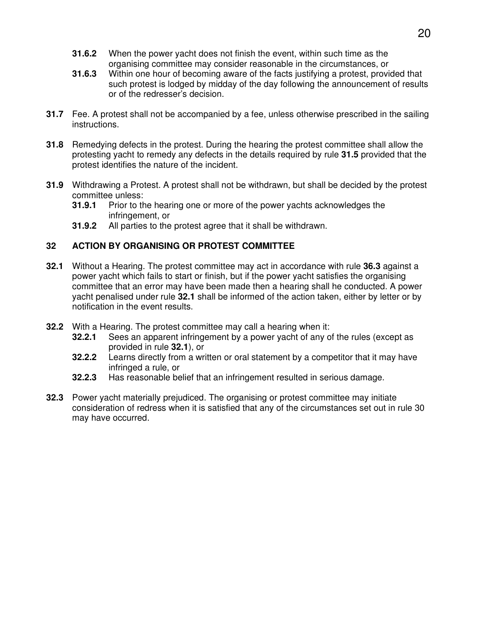- **31.6.2** When the power yacht does not finish the event, within such time as the organising committee may consider reasonable in the circumstances, or
- **31.6.3** Within one hour of becoming aware of the facts justifying a protest, provided that such protest is lodged by midday of the day following the announcement of results or of the redresser's decision.
- **31.7** Fee. A protest shall not be accompanied by a fee, unless otherwise prescribed in the sailing instructions.
- **31.8** Remedying defects in the protest. During the hearing the protest committee shall allow the protesting yacht to remedy any defects in the details required by rule **31.5** provided that the protest identifies the nature of the incident.
- **31.9** Withdrawing a Protest. A protest shall not be withdrawn, but shall be decided by the protest committee unless:
	- **31.9.1** Prior to the hearing one or more of the power yachts acknowledges the infringement, or
	- **31.9.2** All parties to the protest agree that it shall be withdrawn.

#### **32 ACTION BY ORGANISING OR PROTEST COMMITTEE**

- **32.1** Without a Hearing. The protest committee may act in accordance with rule **36.3** against a power yacht which fails to start or finish, but if the power yacht satisfies the organising committee that an error may have been made then a hearing shall he conducted. A power yacht penalised under rule **32.1** shall be informed of the action taken, either by letter or by notification in the event results.
- **32.2** With a Hearing. The protest committee may call a hearing when it:
	- **32.2.1** Sees an apparent infringement by a power yacht of any of the rules (except as provided in rule **32.1**), or
	- **32.2.2** Learns directly from a written or oral statement by a competitor that it may have infringed a rule, or
	- **32.2.3** Has reasonable belief that an infringement resulted in serious damage.
- **32.3** Power yacht materially prejudiced. The organising or protest committee may initiate consideration of redress when it is satisfied that any of the circumstances set out in rule 30 may have occurred.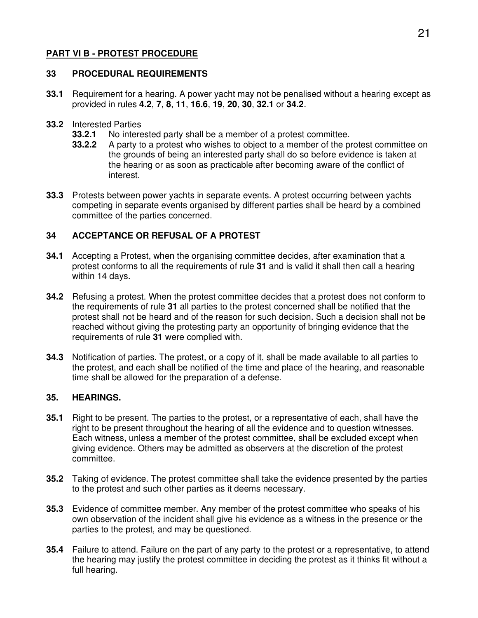## **PART VI B - PROTEST PROCEDURE**

#### **33 PROCEDURAL REQUIREMENTS**

- **33.1** Requirement for a hearing. A power yacht may not be penalised without a hearing except as provided in rules **4.2**, **7**, **8**, **11**, **16.6**, **19**, **20**, **30**, **32.1** or **34.2**.
- **33.2** Interested Parties
	- **33.2.1** No interested party shall be a member of a protest committee.
	- **33.2.2** A party to a protest who wishes to object to a member of the protest committee on the grounds of being an interested party shall do so before evidence is taken at the hearing or as soon as practicable after becoming aware of the conflict of interest.
- **33.3** Protests between power yachts in separate events. A protest occurring between yachts competing in separate events organised by different parties shall be heard by a combined committee of the parties concerned.

#### **34 ACCEPTANCE OR REFUSAL OF A PROTEST**

- **34.1** Accepting a Protest, when the organising committee decides, after examination that a protest conforms to all the requirements of rule **31** and is valid it shall then call a hearing within 14 days.
- **34.2** Refusing a protest. When the protest committee decides that a protest does not conform to the requirements of rule **31** all parties to the protest concerned shall be notified that the protest shall not be heard and of the reason for such decision. Such a decision shall not be reached without giving the protesting party an opportunity of bringing evidence that the requirements of rule **31** were complied with.
- **34.3** Notification of parties. The protest, or a copy of it, shall be made available to all parties to the protest, and each shall be notified of the time and place of the hearing, and reasonable time shall be allowed for the preparation of a defense.

#### **35. HEARINGS.**

- **35.1** Right to be present. The parties to the protest, or a representative of each, shall have the right to be present throughout the hearing of all the evidence and to question witnesses. Each witness, unless a member of the protest committee, shall be excluded except when giving evidence. Others may be admitted as observers at the discretion of the protest committee.
- **35.2** Taking of evidence. The protest committee shall take the evidence presented by the parties to the protest and such other parties as it deems necessary.
- **35.3** Evidence of committee member. Any member of the protest committee who speaks of his own observation of the incident shall give his evidence as a witness in the presence or the parties to the protest, and may be questioned.
- **35.4** Failure to attend. Failure on the part of any party to the protest or a representative, to attend the hearing may justify the protest committee in deciding the protest as it thinks fit without a full hearing.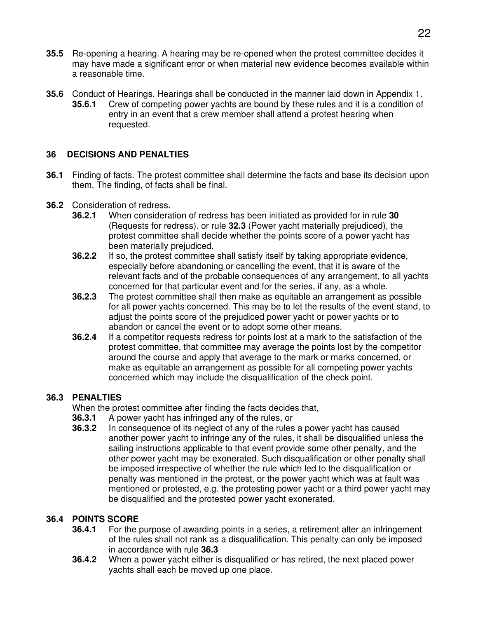- **35.5** Re-opening a hearing. A hearing may be re-opened when the protest committee decides it may have made a significant error or when material new evidence becomes available within a reasonable time.
- **35.6** Conduct of Hearings. Hearings shall be conducted in the manner laid down in Appendix 1. **35.6.1** Crew of competing power yachts are bound by these rules and it is a condition of entry in an event that a crew member shall attend a protest hearing when requested.

## **36 DECISIONS AND PENALTIES**

- **36.1** Finding of facts. The protest committee shall determine the facts and base its decision upon them. The finding, of facts shall be final.
- **36.2** Consideration of redress.
	- **36.2.1** When consideration of redress has been initiated as provided for in rule **30** (Requests for redress). or rule **32.3** (Power yacht materially prejudiced), the protest committee shall decide whether the points score of a power yacht has been materially prejudiced.
	- **36.2.2** If so, the protest committee shall satisfy itself by taking appropriate evidence, especially before abandoning or cancelling the event, that it is aware of the relevant facts and of the probable consequences of any arrangement, to all yachts concerned for that particular event and for the series, if any, as a whole.
	- **36.2.3** The protest committee shall then make as equitable an arrangement as possible for all power yachts concerned. This may be to let the results of the event stand, to adjust the points score of the prejudiced power yacht or power yachts or to abandon or cancel the event or to adopt some other means.
	- **36.2.4** If a competitor requests redress for points lost at a mark to the satisfaction of the protest committee, that committee may average the points lost by the competitor around the course and apply that average to the mark or marks concerned, or make as equitable an arrangement as possible for all competing power yachts concerned which may include the disqualification of the check point.

#### **36.3 PENALTIES**

When the protest committee after finding the facts decides that,

- **36.3.1** A power yacht has infringed any of the rules, or
- **36.3.2** In consequence of its neglect of any of the rules a power yacht has caused another power yacht to infringe any of the rules, it shall be disqualified unless the sailing instructions applicable to that event provide some other penalty, and the other power yacht may be exonerated. Such disqualification or other penalty shall be imposed irrespective of whether the rule which led to the disqualification or penalty was mentioned in the protest, or the power yacht which was at fault was mentioned or protested, e.g. the protesting power yacht or a third power yacht may be disqualified and the protested power yacht exonerated.

## **36.4 POINTS SCORE**

- **36.4.1** For the purpose of awarding points in a series, a retirement alter an infringement of the rules shall not rank as a disqualification. This penalty can only be imposed in accordance with rule **36.3**
- **36.4.2** When a power yacht either is disqualified or has retired, the next placed power yachts shall each be moved up one place.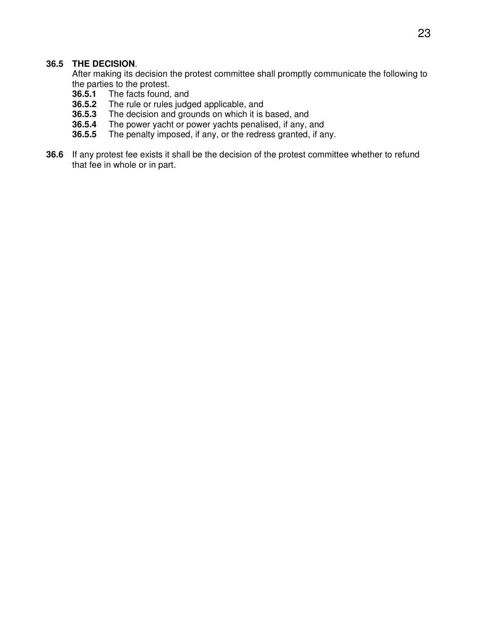#### **36.5 THE DECISION**.

 After making its decision the protest committee shall promptly communicate the following to the parties to the protest.

- **36.5.1** The facts found, and **36.5.2** The rule or rules judg
- The rule or rules judged applicable, and
- **36.5.3** The decision and grounds on which it is based, and
- **36.5.4** The power yacht or power yachts penalised, if any, and **36.5.5** The penalty imposed, if any, or the redress granted, if any
- **36.5.5** The penalty imposed, if any, or the redress granted, if any.
- **36.6** If any protest fee exists it shall be the decision of the protest committee whether to refund that fee in whole or in part.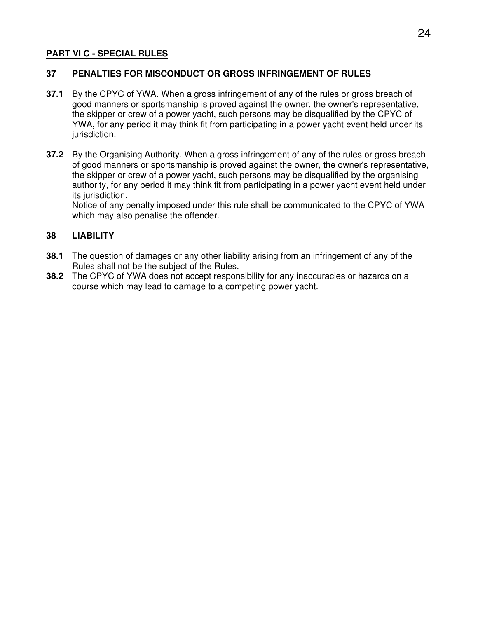#### **PART VI C - SPECIAL RULES**

#### **37 PENALTIES FOR MISCONDUCT OR GROSS INFRINGEMENT OF RULES**

- **37.1** By the CPYC of YWA. When a gross infringement of any of the rules or gross breach of good manners or sportsmanship is proved against the owner, the owner's representative, the skipper or crew of a power yacht, such persons may be disqualified by the CPYC of YWA, for any period it may think fit from participating in a power yacht event held under its jurisdiction.
- **37.2** By the Organising Authority. When a gross infringement of any of the rules or gross breach of good manners or sportsmanship is proved against the owner, the owner's representative, the skipper or crew of a power yacht, such persons may be disqualified by the organising authority, for any period it may think fit from participating in a power yacht event held under its jurisdiction.

 Notice of any penalty imposed under this rule shall be communicated to the CPYC of YWA which may also penalise the offender.

#### **38 LIABILITY**

- **38.1** The question of damages or any other liability arising from an infringement of any of the Rules shall not be the subject of the Rules.
- **38.2** The CPYC of YWA does not accept responsibility for any inaccuracies or hazards on a course which may lead to damage to a competing power yacht.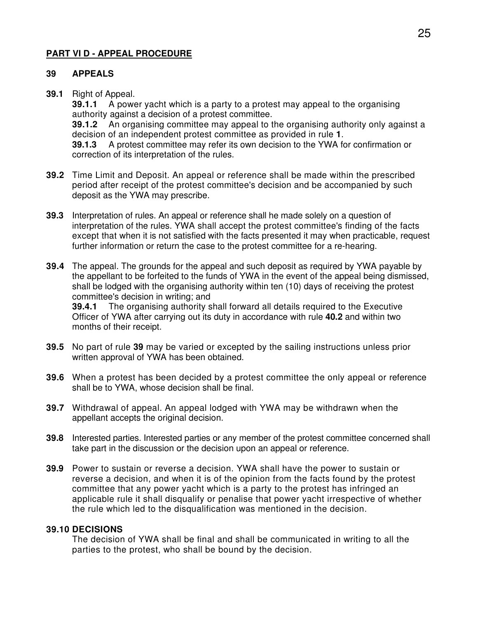#### **PART VI D - APPEAL PROCEDURE**

#### **39 APPEALS**

**39.1** Right of Appeal.

**39.1.1** A power yacht which is a party to a protest may appeal to the organising authority against a decision of a protest committee.

**39.1.2** An organising committee may appeal to the organising authority only against a decision of an independent protest committee as provided in rule **1**.

**39.1.3** A protest committee may refer its own decision to the YWA for confirmation or correction of its interpretation of the rules.

- **39.2** Time Limit and Deposit. An appeal or reference shall be made within the prescribed period after receipt of the protest committee's decision and be accompanied by such deposit as the YWA may prescribe.
- **39.3** Interpretation of rules. An appeal or reference shall he made solely on a question of interpretation of the rules. YWA shall accept the protest committee's finding of the facts except that when it is not satisfied with the facts presented it may when practicable, request further information or return the case to the protest committee for a re-hearing.
- **39.4** The appeal. The grounds for the appeal and such deposit as required by YWA payable by the appellant to be forfeited to the funds of YWA in the event of the appeal being dismissed, shall be lodged with the organising authority within ten (10) days of receiving the protest committee's decision in writing; and **39.4.1** The organising authority shall forward all details required to the Executive

Officer of YWA after carrying out its duty in accordance with rule **40.2** and within two months of their receipt.

- **39.5** No part of rule **39** may be varied or excepted by the sailing instructions unless prior written approval of YWA has been obtained.
- **39.6** When a protest has been decided by a protest committee the only appeal or reference shall be to YWA, whose decision shall be final.
- **39.7** Withdrawal of appeal. An appeal lodged with YWA may be withdrawn when the appellant accepts the original decision.
- **39.8** Interested parties. Interested parties or any member of the protest committee concerned shall take part in the discussion or the decision upon an appeal or reference.
- **39.9** Power to sustain or reverse a decision. YWA shall have the power to sustain or reverse a decision, and when it is of the opinion from the facts found by the protest committee that any power yacht which is a party to the protest has infringed an applicable rule it shall disqualify or penalise that power yacht irrespective of whether the rule which led to the disqualification was mentioned in the decision.

#### **39.10 DECISIONS**

 The decision of YWA shall be final and shall be communicated in writing to all the parties to the protest, who shall be bound by the decision.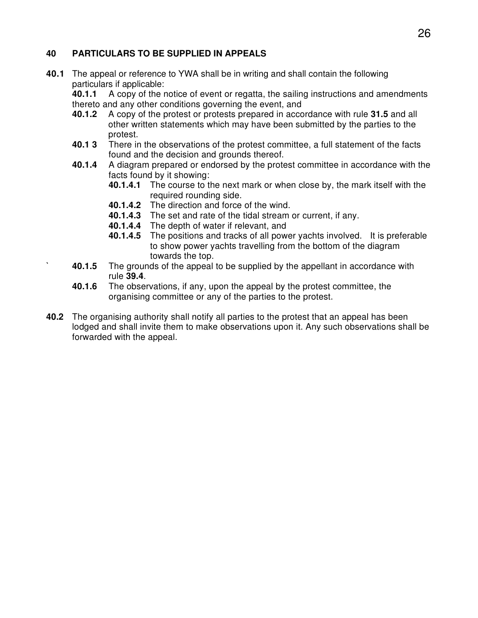## **40 PARTICULARS TO BE SUPPLIED IN APPEALS**

**40.1** The appeal or reference to YWA shall be in writing and shall contain the following particulars if applicable:

 **40.1.1** A copy of the notice of event or regatta, the sailing instructions and amendments thereto and any other conditions governing the event, and

- **40.1.2** A copy of the protest or protests prepared in accordance with rule **31.5** and all other written statements which may have been submitted by the parties to the protest.
- **40.1 3** There in the observations of the protest committee, a full statement of the facts found and the decision and grounds thereof.
- **40.1.4** A diagram prepared or endorsed by the protest committee in accordance with the facts found by it showing:
	- **40.1.4.1** The course to the next mark or when close by, the mark itself with the required rounding side.
	- **40.1.4.2** The direction and force of the wind.
	- **40.1.4.3** The set and rate of the tidal stream or current, if any.
	- **40.1.4.4** The depth of water if relevant, and
	- **40.1.4.5** The positions and tracks of all power yachts involved. It is preferable to show power yachts travelling from the bottom of the diagram towards the top.
- **40.1.5** The grounds of the appeal to be supplied by the appellant in accordance with rule **39.4**.
- **40.1.6** The observations, if any, upon the appeal by the protest committee, the organising committee or any of the parties to the protest.
- **40.2** The organising authority shall notify all parties to the protest that an appeal has been lodged and shall invite them to make observations upon it. Any such observations shall be forwarded with the appeal.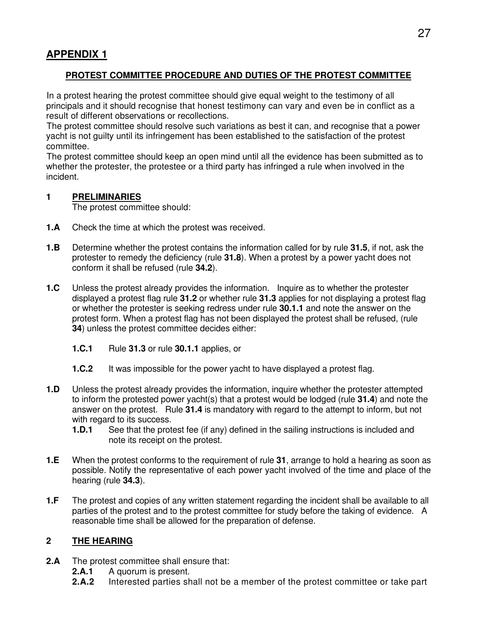## **PROTEST COMMITTEE PROCEDURE AND DUTIES OF THE PROTEST COMMITTEE**

In a protest hearing the protest committee should give equal weight to the testimony of all principals and it should recognise that honest testimony can vary and even be in conflict as a result of different observations or recollections.

The protest committee should resolve such variations as best it can, and recognise that a power yacht is not guilty until its infringement has been established to the satisfaction of the protest committee.

The protest committee should keep an open mind until all the evidence has been submitted as to whether the protester, the protestee or a third party has infringed a rule when involved in the incident.

#### **1 PRELIMINARIES**

The protest committee should:

- **1.A** Check the time at which the protest was received.
- **1.B** Determine whether the protest contains the information called for by rule **31.5**, if not, ask the protester to remedy the deficiency (rule **31.8**). When a protest by a power yacht does not conform it shall be refused (rule **34.2**).
- **1.C** Unless the protest already provides the information. Inquire as to whether the protester displayed a protest flag rule **31.2** or whether rule **31.3** applies for not displaying a protest flag or whether the protester is seeking redress under rule **30.1.1** and note the answer on the protest form. When a protest flag has not been displayed the protest shall be refused, (rule **34**) unless the protest committee decides either:
	- **1.C.1** Rule **31.3** or rule **30.1.1** applies, or
	- **1.C.2** It was impossible for the power yacht to have displayed a protest flag.
- **1.D** Unless the protest already provides the information, inquire whether the protester attempted to inform the protested power yacht(s) that a protest would be lodged (rule **31.4**) and note the answer on the protest. Rule **31.4** is mandatory with regard to the attempt to inform, but not with regard to its success.
	- **1.D.1** See that the protest fee (if any) defined in the sailing instructions is included and note its receipt on the protest.
- **1.E** When the protest conforms to the requirement of rule **31**, arrange to hold a hearing as soon as possible. Notify the representative of each power yacht involved of the time and place of the hearing (rule **34.3**).
- **1.F** The protest and copies of any written statement regarding the incident shall be available to all parties of the protest and to the protest committee for study before the taking of evidence. A reasonable time shall be allowed for the preparation of defense.

#### **2 THE HEARING**

- **2.A** The protest committee shall ensure that:
	- **2.A.1** A quorum is present.
	- **2.A.2** Interested parties shall not be a member of the protest committee or take part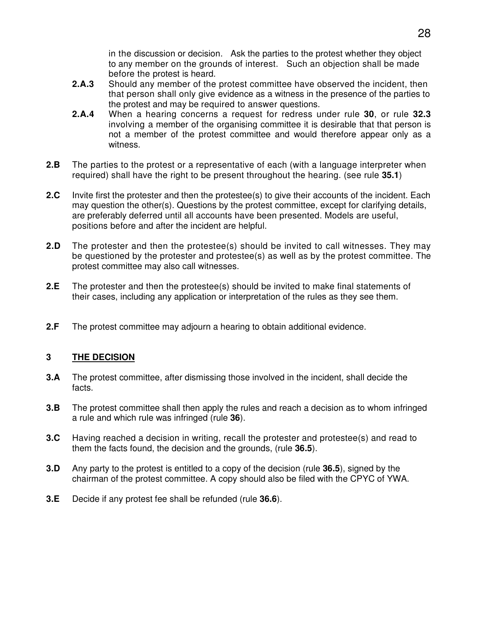in the discussion or decision. Ask the parties to the protest whether they object to any member on the grounds of interest. Such an objection shall be made before the protest is heard.

- **2.A.3** Should any member of the protest committee have observed the incident, then that person shall only give evidence as a witness in the presence of the parties to the protest and may be required to answer questions.
- **2.A.4** When a hearing concerns a request for redress under rule **30**, or rule **32.3** involving a member of the organising committee it is desirable that that person is not a member of the protest committee and would therefore appear only as a witness.
- **2.B** The parties to the protest or a representative of each (with a language interpreter when required) shall have the right to be present throughout the hearing. (see rule **35.1**)
- **2.C** Invite first the protester and then the protestee(s) to give their accounts of the incident. Each may question the other(s). Questions by the protest committee, except for clarifying details, are preferably deferred until all accounts have been presented. Models are useful, positions before and after the incident are helpful.
- **2.D** The protester and then the protestee(s) should be invited to call witnesses. They may be questioned by the protester and protestee(s) as well as by the protest committee. The protest committee may also call witnesses.
- **2.E** The protester and then the protestee(s) should be invited to make final statements of their cases, including any application or interpretation of the rules as they see them.
- **2.F** The protest committee may adjourn a hearing to obtain additional evidence.

#### **3 THE DECISION**

- **3.A** The protest committee, after dismissing those involved in the incident, shall decide the facts.
- **3.B** The protest committee shall then apply the rules and reach a decision as to whom infringed a rule and which rule was infringed (rule **36**).
- **3.C** Having reached a decision in writing, recall the protester and protestee(s) and read to them the facts found, the decision and the grounds, (rule **36.5**).
- **3.D** Any party to the protest is entitled to a copy of the decision (rule **36.5**), signed by the chairman of the protest committee. A copy should also be filed with the CPYC of YWA.
- **3.E** Decide if any protest fee shall be refunded (rule **36.6**).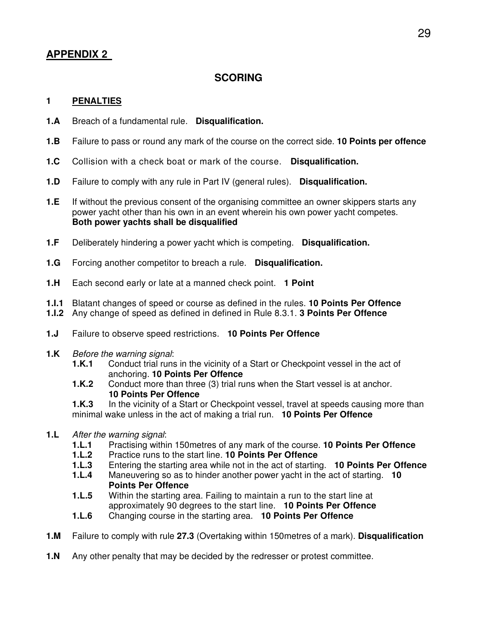## **SCORING**

#### **1 PENALTIES**

- **1.A** Breach of a fundamental rule. **Disqualification.**
- **1.B** Failure to pass or round any mark of the course on the correct side. **10 Points per offence**
- **1.C** Collision with a check boat or mark of the course. **Disqualification.**
- **1.D** Failure to comply with any rule in Part IV (general rules). **Disqualification.**
- **1.E** If without the previous consent of the organising committee an owner skippers starts any power yacht other than his own in an event wherein his own power yacht competes.  **Both power yachts shall be disqualified**
- **1.F** Deliberately hindering a power yacht which is competing. **Disqualification.**
- **1.G** Forcing another competitor to breach a rule. **Disqualification.**
- **1.H** Each second early or late at a manned check point. **1 Point**
- **1.I.1** Blatant changes of speed or course as defined in the rules. **10 Points Per Offence**
- **1.I.2** Any change of speed as defined in defined in Rule 8.3.1. **3 Points Per Offence**
- **1.J** Failure to observe speed restrictions. **10 Points Per Offence**
- **1.K** Before the warning signal:
	- **1.K.1** Conduct trial runs in the vicinity of a Start or Checkpoint vessel in the act of anchoring. **10 Points Per Offence**
	- **1.K.2** Conduct more than three (3) trial runs when the Start vessel is at anchor. **10 Points Per Offence**

**1.K.3** In the vicinity of a Start or Checkpoint vessel, travel at speeds causing more than minimal wake unless in the act of making a trial run. **10 Points Per Offence** 

- **1.L** After the warning signal:
	- **1.L.1** Practising within 150metres of any mark of the course. **10 Points Per Offence**
	- **1.L.2** Practice runs to the start line. **10 Points Per Offence**
	- Entering the starting area while not in the act of starting. **10 Points Per Offence**
	- **1.L.4** Maneuvering so as to hinder another power yacht in the act of starting. **10 Points Per Offence**
	- **1.L.5** Within the starting area. Failing to maintain a run to the start line at approximately 90 degrees to the start line. **10 Points Per Offence**
	- **1.L.6** Changing course in the starting area. **10 Points Per Offence**
- **1.M** Failure to comply with rule **27.3** (Overtaking within 150metres of a mark). **Disqualification**
- **1.N** Any other penalty that may be decided by the redresser or protest committee.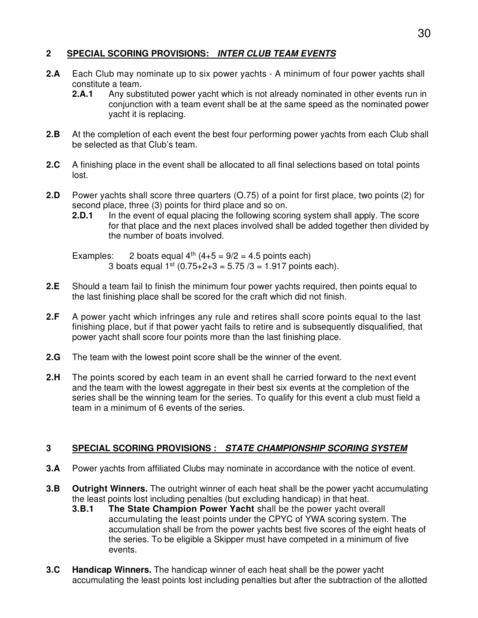## **2 SPECIAL SCORING PROVISIONS: INTER CLUB TEAM EVENTS**

- **2.A** Each Club may nominate up to six power yachts A minimum of four power yachts shall constitute a team.
	- **2.A.1** Any substituted power yacht which is not already nominated in other events run in conjunction with a team event shall be at the same speed as the nominated power yacht it is replacing.
- **2.B** At the completion of each event the best four performing power yachts from each Club shall be selected as that Club's team.
- **2.C** A finishing place in the event shall be allocated to all final selections based on total points lost.
- **2.D** Power yachts shall score three quarters (O.75) of a point for first place, two points (2) for second place, three (3) points for third place and so on.
	- **2.D.1** In the event of equal placing the following scoring system shall apply. The score for that place and the next places involved shall be added together then divided by the number of boats involved.

Examples: 2 boats equal  $4^{th}$  (4+5 = 9/2 = 4.5 points each) 3 boats equal  $1^{st}$  (0.75+2+3 = 5.75 /3 = 1.917 points each).

- **2.E** Should a team fail to finish the minimum four power yachts required, then points equal to the last finishing place shall be scored for the craft which did not finish.
- **2.F** A power yacht which infringes any rule and retires shall score points equal to the last finishing place, but if that power yacht fails to retire and is subsequently disqualified, that power yacht shall score four points more than the last finishing place.
- **2.G** The team with the lowest point score shall be the winner of the event.
- **2.H** The points scored by each team in an event shall he carried forward to the next event and the team with the lowest aggregate in their best six events at the completion of the series shall be the winning team for the series. To qualify for this event a club must field a team in a minimum of 6 events of the series.

#### **3 SPECIAL SCORING PROVISIONS : STATE CHAMPIONSHIP SCORING SYSTEM**

- **3.A** Power yachts from affiliated Clubs may nominate in accordance with the notice of event.
- **3.B Outright Winners.** The outright winner of each heat shall be the power yacht accumulating the least points lost including penalties (but excluding handicap) in that heat.
	- **3.B.1 The State Champion Power Yacht** shall be the power yacht overall accumulating the least points under the CPYC of YWA scoring system. The accumulation shall be from the power yachts best five scores of the eight heats of the series. To be eligible a Skipper must have competed in a minimum of five events.
- **3.C Handicap Winners.** The handicap winner of each heat shall be the power yacht accumulating the least points lost including penalties but after the subtraction of the allotted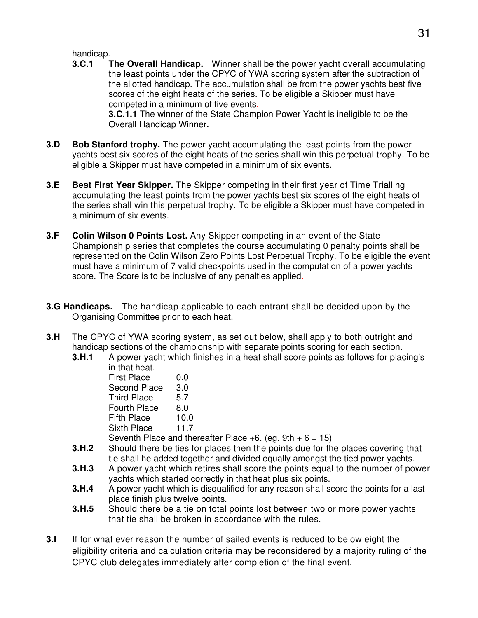handicap.

- **3.C.1 The Overall Handicap.** Winner shall be the power yacht overall accumulating the least points under the CPYC of YWA scoring system after the subtraction of the allotted handicap. The accumulation shall be from the power yachts best five scores of the eight heats of the series. To be eligible a Skipper must have competed in a minimum of five events.  **3.C.1.1** The winner of the State Champion Power Yacht is ineligible to be the Overall Handicap Winner**.**
- **3.D** Bob Stanford trophy. The power yacht accumulating the least points from the power yachts best six scores of the eight heats of the series shall win this perpetual trophy. To be eligible a Skipper must have competed in a minimum of six events.
- **3.E Best First Year Skipper.** The Skipper competing in their first year of Time Trialling accumulating the least points from the power yachts best six scores of the eight heats of the series shall win this perpetual trophy. To be eligible a Skipper must have competed in a minimum of six events.
- **3.F Colin Wilson 0 Points Lost.** Any Skipper competing in an event of the State Championship series that completes the course accumulating 0 penalty points shall be represented on the Colin Wilson Zero Points Lost Perpetual Trophy. To be eligible the event must have a minimum of 7 valid checkpoints used in the computation of a power yachts score. The Score is to be inclusive of any penalties applied.
- **3.G Handicaps.** The handicap applicable to each entrant shall be decided upon by the Organising Committee prior to each heat.
- **3.H** The CPYC of YWA scoring system, as set out below, shall apply to both outright and handicap sections of the championship with separate points scoring for each section.
	- **3.H.1** A power yacht which finishes in a heat shall score points as follows for placing's in that heat.

| <b>First Place</b>    | 0.0  |
|-----------------------|------|
| <b>Second Place</b>   | 3.0  |
| <b>Third Place</b>    | 5.7  |
| <b>Fourth Place</b>   | 8.0  |
| <b>Fifth Place</b>    | 10.0 |
| <b>Sixth Place</b>    | 11.7 |
| Seventh Place and the |      |

- Seventh Place and thereafter Place  $+6$ . (eg. 9th  $+6 = 15$ )<br>3.H.2 Should there be ties for places then the points due for th
- Should there be ties for places then the points due for the places covering that tie shall he added together and divided equally amongst the tied power yachts.
- **3.H.3** A power yacht which retires shall score the points equal to the number of power yachts which started correctly in that heat plus six points.
- **3.H.4** A power yacht which is disqualified for any reason shall score the points for a last place finish plus twelve points.
- **3.H.5** Should there be a tie on total points lost between two or more power yachts that tie shall be broken in accordance with the rules.
- **3.I** If for what ever reason the number of sailed events is reduced to below eight the eligibility criteria and calculation criteria may be reconsidered by a majority ruling of the CPYC club delegates immediately after completion of the final event.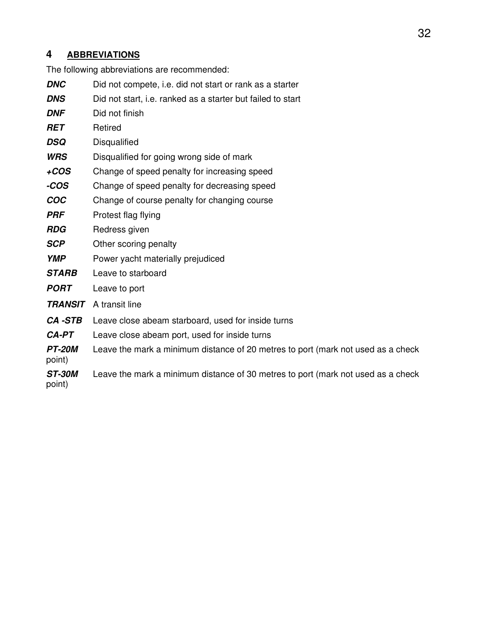## **4 ABBREVIATIONS**

The following abbreviations are recommended:

- **DNC** Did not compete, i.e. did not start or rank as a starter
- **DNS** Did not start, i.e. ranked as a starter but failed to start
- **DNF** Did not finish
- **RET** Retired
- **DSQ** Disqualified
- **WRS** Disqualified for going wrong side of mark
- **+COS** Change of speed penalty for increasing speed
- **-COS** Change of speed penalty for decreasing speed
- **COC** Change of course penalty for changing course
- **PRF** Protest flag flying
- **RDG** Redress given
- **SCP** Other scoring penalty
- **YMP** Power yacht materially prejudiced
- **STARB** Leave to starboard
- **PORT** Leave to port
- **TRANSIT** A transit line

point)

- **CA -STB** Leave close abeam starboard, used for inside turns
- **CA-PT** Leave close abeam port, used for inside turns
- **PT-20M** Leave the mark a minimum distance of 20 metres to port (mark not used as a check
- **ST-30M** Leave the mark a minimum distance of 30 metres to port (mark not used as a check point)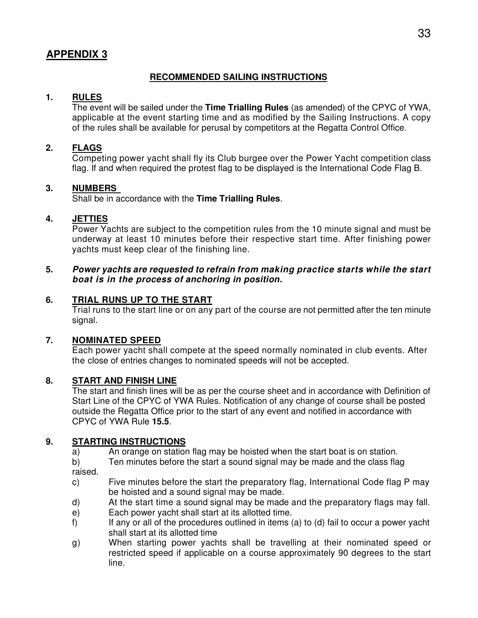#### **RECOMMENDED SAILING INSTRUCTIONS**

#### **1. RULES**

 The event will be sailed under the **Time Trialling Rules** (as amended) of the CPYC of YWA, applicable at the event starting time and as modified by the Sailing Instructions. A copy of the rules shall be available for perusal by competitors at the Regatta Control Office.

#### **2. FLAGS**

 Competing power yacht shall fly its Club burgee over the Power Yacht competition class flag. If and when required the protest flag to be displayed is the International Code Flag B.

#### **3. NUMBERS**

Shall be in accordance with the **Time Trialling Rules**.

#### **4. JETTIES**

 Power Yachts are subject to the competition rules from the 10 minute signal and must be underway at least 10 minutes before their respective start time. After finishing power yachts must keep clear of the finishing line.

#### **5. Power yachts are requested to refrain from making practice starts while the start boat is in the process of anchoring in position.**

#### **6. TRIAL RUNS UP TO THE START**

 Trial runs to the start line or on any part of the course are not permitted after the ten minute signal.

#### **7. NOMINATED SPEED**

 Each power yacht shall compete at the speed normally nominated in club events. After the close of entries changes to nominated speeds will not be accepted.

#### **8. START AND FINISH LINE**

 The start and finish lines will be as per the course sheet and in accordance with Definition of Start Line of the CPYC of YWA Rules. Notification of any change of course shall be posted outside the Regatta Office prior to the start of any event and notified in accordance with CPYC of YWA Rule **15.5**.

#### **9. STARTING INSTRUCTIONS**

- a) An orange on station flag may be hoisted when the start boat is on station.
- b) Ten minutes before the start a sound signal may be made and the class flag

raised.

- c) Five minutes before the start the preparatory flag, International Code flag P may be hoisted and a sound signal may be made.
- d) At the start time a sound signal may be made and the preparatory flags may fall.
- e) Each power yacht shall start at its allotted time.
- f) If any or all of the procedures outlined in items (a) to (d) fail to occur a power yacht shall start at its allotted time
- g) When starting power yachts shall be travelling at their nominated speed or restricted speed if applicable on a course approximately 90 degrees to the start line.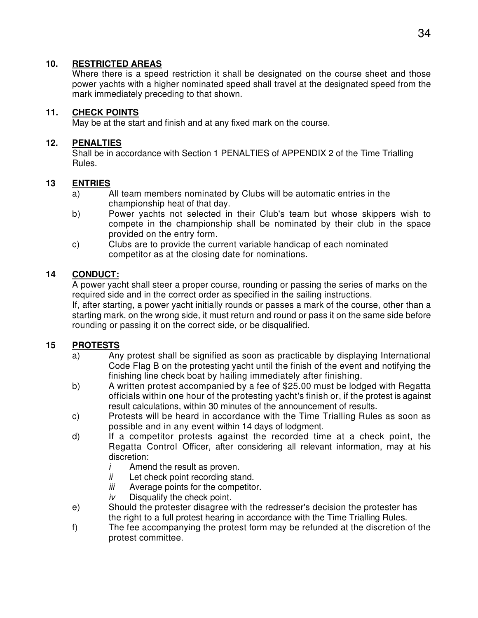#### **10. RESTRICTED AREAS**

 Where there is a speed restriction it shall be designated on the course sheet and those power yachts with a higher nominated speed shall travel at the designated speed from the mark immediately preceding to that shown.

## **11. CHECK POINTS**

May be at the start and finish and at any fixed mark on the course.

#### **12. PENALTIES**

 Shall be in accordance with Section 1 PENALTIES of APPENDIX 2 of the Time Trialling Rules.

#### **13 ENTRIES**

- a) All team members nominated by Clubs will be automatic entries in the championship heat of that day.
- b) Power yachts not selected in their Club's team but whose skippers wish to compete in the championship shall be nominated by their club in the space provided on the entry form.
- c) Clubs are to provide the current variable handicap of each nominated competitor as at the closing date for nominations.

## **14 CONDUCT:**

 A power yacht shall steer a proper course, rounding or passing the series of marks on the required side and in the correct order as specified in the sailing instructions.

 If, after starting, a power yacht initially rounds or passes a mark of the course, other than a starting mark, on the wrong side, it must return and round or pass it on the same side before rounding or passing it on the correct side, or be disqualified.

#### **15 PROTESTS**

- a) Any protest shall be signified as soon as practicable by displaying International Code Flag B on the protesting yacht until the finish of the event and notifying the finishing line check boat by hailing immediately after finishing.
- b) A written protest accompanied by a fee of \$25.00 must be lodged with Regatta officials within one hour of the protesting yacht's finish or, if the protest is against result calculations, within 30 minutes of the announcement of results.
- c) Protests will be heard in accordance with the Time Trialling Rules as soon as possible and in any event within 14 days of lodgment.
- d) If a competitor protests against the recorded time at a check point, the Regatta Control Officer, after considering all relevant information, may at his discretion:
	- $i$  Amend the result as proven.
	- $ii$  Let check point recording stand.
	- iii Average points for the competitor.
	- $iv$  Disqualify the check point.
- e) Should the protester disagree with the redresser's decision the protester has the right to a full protest hearing in accordance with the Time Trialling Rules.
- f) The fee accompanying the protest form may be refunded at the discretion of the protest committee.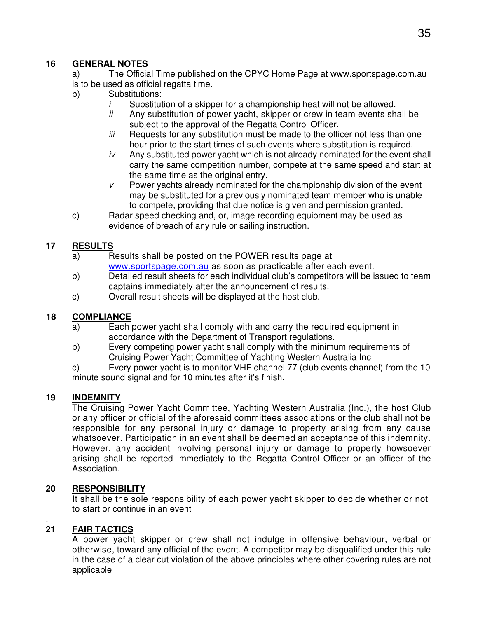#### **16 GENERAL NOTES**

 a) The Official Time published on the CPYC Home Page at www.sportspage.com.au is to be used as official regatta time.

- b) Substitutions:
	- $i$  Substitution of a skipper for a championship heat will not be allowed.
	- $ii$  Any substitution of power yacht, skipper or crew in team events shall be subject to the approval of the Regatta Control Officer.
	- iii Requests for any substitution must be made to the officer not less than one hour prior to the start times of such events where substitution is required.
	- $iv$  Any substituted power yacht which is not already nominated for the event shall carry the same competition number, compete at the same speed and start at the same time as the original entry.
	- $v$  Power yachts already nominated for the championship division of the event may be substituted for a previously nominated team member who is unable to compete, providing that due notice is given and permission granted.
- c) Radar speed checking and, or, image recording equipment may be used as evidence of breach of any rule or sailing instruction.

## **17 RESULTS**

- a) Results shall be posted on the POWER results page at www.sportspage.com.au as soon as practicable after each event.
- b) Detailed result sheets for each individual club's competitors will be issued to team captains immediately after the announcement of results.
- c) Overall result sheets will be displayed at the host club.

#### **18 COMPLIANCE**

- a) Each power yacht shall comply with and carry the required equipment in accordance with the Department of Transport regulations.
- b) Every competing power yacht shall comply with the minimum requirements of Cruising Power Yacht Committee of Yachting Western Australia Inc

 c) Every power yacht is to monitor VHF channel 77 (club events channel) from the 10 minute sound signal and for 10 minutes after it's finish.

## **19 INDEMNITY**

 The Cruising Power Yacht Committee, Yachting Western Australia (Inc.), the host Club or any officer or official of the aforesaid committees associations or the club shall not be responsible for any personal injury or damage to property arising from any cause whatsoever. Participation in an event shall be deemed an acceptance of this indemnity. However, any accident involving personal injury or damage to property howsoever arising shall be reported immediately to the Regatta Control Officer or an officer of the Association.

#### **20 RESPONSIBILITY**

 It shall be the sole responsibility of each power yacht skipper to decide whether or not to start or continue in an event

#### . **21 FAIR TACTICS**

 A power yacht skipper or crew shall not indulge in offensive behaviour, verbal or otherwise, toward any official of the event. A competitor may be disqualified under this rule in the case of a clear cut violation of the above principles where other covering rules are not applicable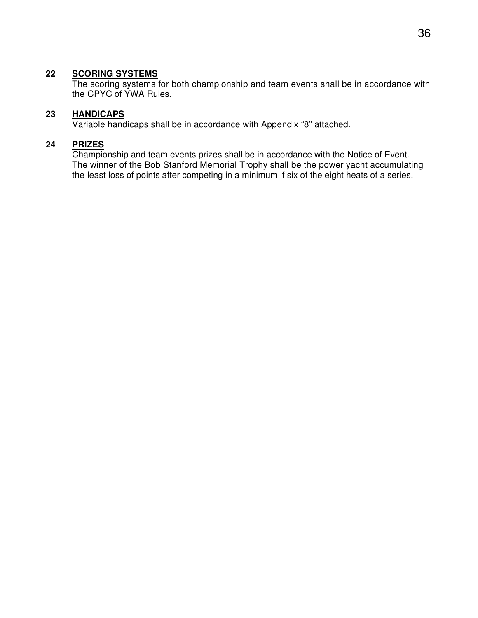#### **22 SCORING SYSTEMS**

 The scoring systems for both championship and team events shall be in accordance with the CPYC of YWA Rules.

#### **23 HANDICAPS**

Variable handicaps shall be in accordance with Appendix "8" attached.

#### **24 PRIZES**

 Championship and team events prizes shall be in accordance with the Notice of Event. The winner of the Bob Stanford Memorial Trophy shall be the power yacht accumulating the least loss of points after competing in a minimum if six of the eight heats of a series.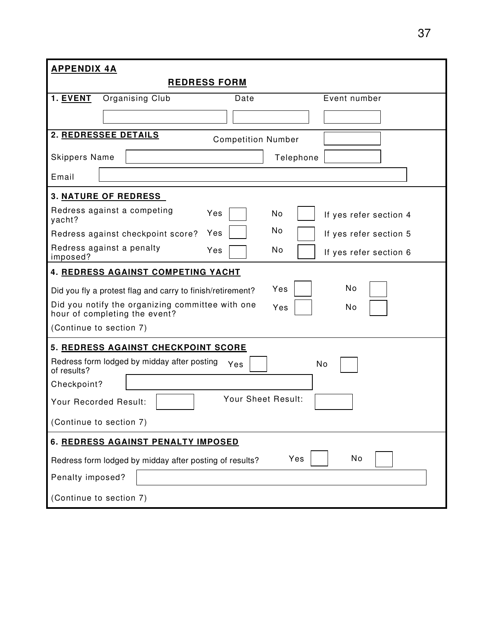| <b>APPENDIX 4A</b>                                                                             |  |  |  |  |  |
|------------------------------------------------------------------------------------------------|--|--|--|--|--|
| <b>REDRESS FORM</b>                                                                            |  |  |  |  |  |
| 1. EVENT<br>Organising Club<br>Event number<br>Date                                            |  |  |  |  |  |
|                                                                                                |  |  |  |  |  |
| 2. REDRESSEE DETAILS<br><b>Competition Number</b>                                              |  |  |  |  |  |
| <b>Skippers Name</b><br>Telephone                                                              |  |  |  |  |  |
| Email                                                                                          |  |  |  |  |  |
| <b>3. NATURE OF REDRESS</b>                                                                    |  |  |  |  |  |
| Redress against a competing<br>Yes<br>No<br>If yes refer section 4<br>yacht?                   |  |  |  |  |  |
| No<br>Yes<br>Redress against checkpoint score?<br>If yes refer section 5                       |  |  |  |  |  |
| Redress against a penalty<br>No<br>Yes<br>If yes refer section 6<br>imposed?                   |  |  |  |  |  |
| 4. REDRESS AGAINST COMPETING YACHT                                                             |  |  |  |  |  |
| No<br>Yes<br>Did you fly a protest flag and carry to finish/retirement?                        |  |  |  |  |  |
| Did you notify the organizing committee with one<br>Yes<br>No<br>hour of completing the event? |  |  |  |  |  |
| (Continue to section 7)                                                                        |  |  |  |  |  |
| 5. REDRESS AGAINST CHECKPOINT SCORE                                                            |  |  |  |  |  |
| Redress form lodged by midday after posting<br>No<br>Yes<br>of results?                        |  |  |  |  |  |
| Checkpoint?                                                                                    |  |  |  |  |  |
| Your Sheet Result:<br>Your Recorded Result:                                                    |  |  |  |  |  |
| (Continue to section 7)                                                                        |  |  |  |  |  |
| 6. REDRESS AGAINST PENALTY IMPOSED                                                             |  |  |  |  |  |
| No<br>Yes<br>Redress form lodged by midday after posting of results?                           |  |  |  |  |  |
| Penalty imposed?                                                                               |  |  |  |  |  |
| (Continue to section 7)                                                                        |  |  |  |  |  |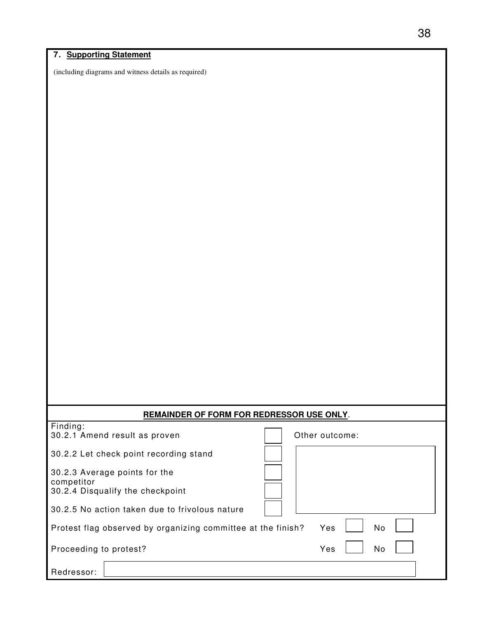#### **7. Supporting Statement**

(including diagrams and witness details as required)

| <b>REMAINDER OF FORM FOR REDRESSOR USE ONLY.</b>             |                  |  |  |  |  |  |
|--------------------------------------------------------------|------------------|--|--|--|--|--|
| Finding:<br>30.2.1 Amend result as proven                    | Other outcome:   |  |  |  |  |  |
| 30.2.2 Let check point recording stand                       |                  |  |  |  |  |  |
| 30.2.3 Average points for the<br>competitor                  |                  |  |  |  |  |  |
| 30.2.4 Disqualify the checkpoint                             |                  |  |  |  |  |  |
| 30.2.5 No action taken due to frivolous nature               |                  |  |  |  |  |  |
| Protest flag observed by organizing committee at the finish? | <b>No</b><br>Yes |  |  |  |  |  |
| Proceeding to protest?                                       | No<br>Yes        |  |  |  |  |  |
| Redressor:                                                   |                  |  |  |  |  |  |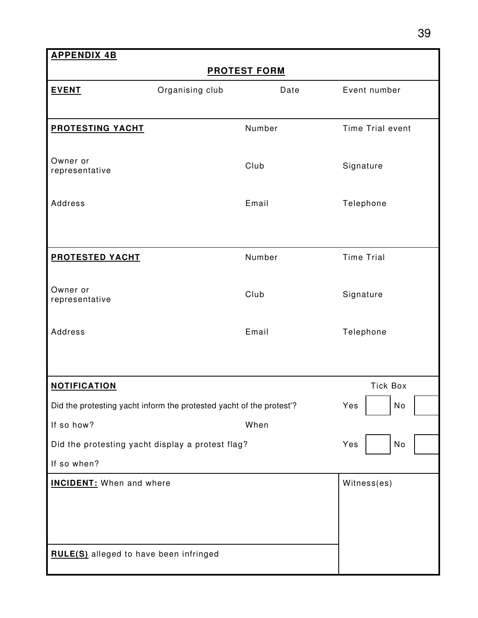**APPENDIX 4B PROTEST FORM EVENT Constructed Constructed Constructed Constructed Constructed Constructed Constructed Constructed Constructed Constructed Construction Construction Construction Construction Construction Construction Construction Co PROTESTING YACHT** Number Number Time Trial event Owner or Owner or<br>representative and the Club Club Signature Address **Email** Telephone **PROTESTED YACHT** Number Number Time Trial Owner or Owner or<br>representative and the Club Club Signature Address **Email** Telephone **NOTIFICATION Tick Box** Did the protesting yacht inform the protested yacht of the protest'? Yes | No If so how? When Did the protesting yacht display a protest flag? No Yes No If so when? **INCIDENT:** When and where **Witness(es) Witness(es) RULE(S)** alleged to have been infringed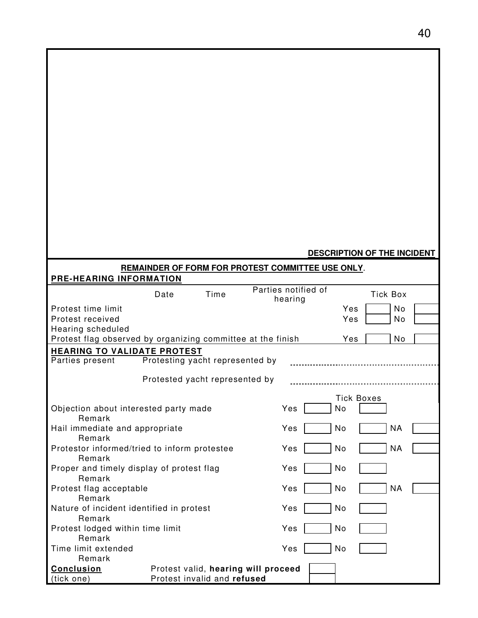#### **DESCRIPTION OF THE INCIDENT**

| REMAINDER OF FORM FOR PROTEST COMMITTEE USE ONLY.                |                                 |                             |                                     |     |                   |  |  |
|------------------------------------------------------------------|---------------------------------|-----------------------------|-------------------------------------|-----|-------------------|--|--|
| PRE-HEARING INFORMATION                                          |                                 |                             |                                     |     |                   |  |  |
|                                                                  | Date                            | Time                        | Parties notified of<br>hearing      |     | <b>Tick Box</b>   |  |  |
| Protest time limit                                               |                                 |                             |                                     | Yes | No                |  |  |
| Protest received                                                 |                                 |                             |                                     | Yes | No                |  |  |
| Hearing scheduled                                                |                                 |                             |                                     |     |                   |  |  |
| Protest flag observed by organizing committee at the finish      |                                 |                             |                                     | Yes | No                |  |  |
| <b>HEARING TO VALIDATE PROTEST</b>                               |                                 |                             |                                     |     |                   |  |  |
| Parties present                                                  | Protesting yacht represented by |                             |                                     |     |                   |  |  |
|                                                                  | Protested yacht represented by  |                             |                                     |     |                   |  |  |
|                                                                  |                                 |                             |                                     |     |                   |  |  |
|                                                                  |                                 |                             |                                     |     | <b>Tick Boxes</b> |  |  |
| Objection about interested party made<br>Remark                  |                                 |                             | Yes                                 | No  |                   |  |  |
| Hail immediate and appropriate                                   |                                 |                             | Yes                                 | No  | <b>NA</b>         |  |  |
| Remark                                                           |                                 |                             |                                     |     |                   |  |  |
| Protestor informed/tried to inform protestee                     |                                 |                             | Yes                                 | No  | <b>NA</b>         |  |  |
| Remark                                                           |                                 |                             |                                     |     |                   |  |  |
| Proper and timely display of protest flag<br>Yes<br>No<br>Remark |                                 |                             |                                     |     |                   |  |  |
| Protest flag acceptable                                          |                                 |                             | Yes                                 | No  | <b>NA</b>         |  |  |
| Remark                                                           |                                 |                             |                                     |     |                   |  |  |
| Nature of incident identified in protest                         |                                 |                             | Yes                                 | No  |                   |  |  |
| Remark                                                           |                                 |                             |                                     |     |                   |  |  |
| Protest lodged within time limit                                 |                                 |                             | Yes                                 | No  |                   |  |  |
| Remark                                                           |                                 |                             |                                     |     |                   |  |  |
| Time limit extended                                              | Yes<br>No                       |                             |                                     |     |                   |  |  |
| Remark                                                           |                                 |                             |                                     |     |                   |  |  |
| Conclusion                                                       |                                 |                             | Protest valid, hearing will proceed |     |                   |  |  |
| (tick one)                                                       |                                 | Protest invalid and refused |                                     |     |                   |  |  |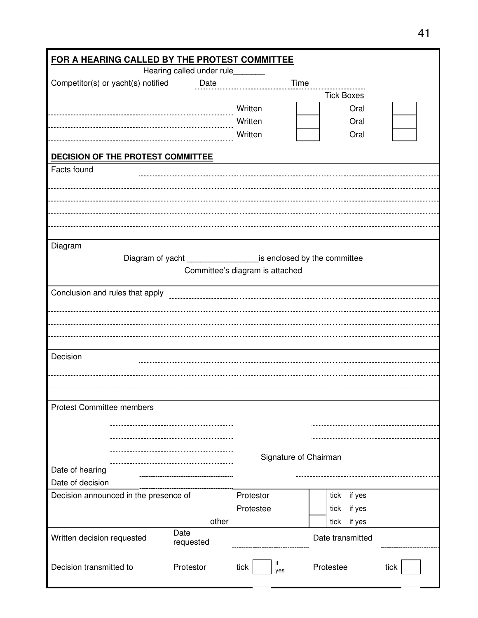|                                       | FOR A HEARING CALLED BY THE PROTEST COMMITTEE |                                                                        |                   |      |  |  |  |
|---------------------------------------|-----------------------------------------------|------------------------------------------------------------------------|-------------------|------|--|--|--|
|                                       | Hearing called under rule_______              |                                                                        |                   |      |  |  |  |
| Competitor(s) or yacht(s) notified    | <b>Date</b>                                   | Time                                                                   |                   |      |  |  |  |
|                                       |                                               |                                                                        | <b>Tick Boxes</b> |      |  |  |  |
|                                       |                                               | Written                                                                | Oral              |      |  |  |  |
|                                       |                                               | Written                                                                | Oral              |      |  |  |  |
|                                       |                                               | Written                                                                | Oral              |      |  |  |  |
| DECISION OF THE PROTEST COMMITTEE     |                                               |                                                                        |                   |      |  |  |  |
| Facts found                           |                                               |                                                                        |                   |      |  |  |  |
|                                       |                                               |                                                                        |                   |      |  |  |  |
|                                       |                                               |                                                                        |                   |      |  |  |  |
|                                       |                                               |                                                                        |                   |      |  |  |  |
|                                       |                                               |                                                                        |                   |      |  |  |  |
|                                       |                                               |                                                                        |                   |      |  |  |  |
| Diagram                               |                                               |                                                                        |                   |      |  |  |  |
|                                       |                                               | Diagram of yacht ________________________ is enclosed by the committee |                   |      |  |  |  |
|                                       |                                               | Committee's diagram is attached                                        |                   |      |  |  |  |
|                                       |                                               |                                                                        |                   |      |  |  |  |
| Conclusion and rules that apply       |                                               |                                                                        |                   |      |  |  |  |
|                                       |                                               |                                                                        |                   |      |  |  |  |
|                                       |                                               |                                                                        |                   |      |  |  |  |
|                                       |                                               |                                                                        |                   |      |  |  |  |
|                                       |                                               |                                                                        |                   |      |  |  |  |
| Decision                              |                                               |                                                                        |                   |      |  |  |  |
|                                       |                                               |                                                                        |                   |      |  |  |  |
|                                       |                                               |                                                                        |                   |      |  |  |  |
|                                       |                                               |                                                                        |                   |      |  |  |  |
| <b>Protest Committee members</b>      |                                               |                                                                        |                   |      |  |  |  |
|                                       |                                               |                                                                        |                   |      |  |  |  |
|                                       |                                               |                                                                        |                   |      |  |  |  |
|                                       |                                               |                                                                        |                   |      |  |  |  |
|                                       |                                               | Signature of Chairman                                                  |                   |      |  |  |  |
| Date of hearing                       |                                               |                                                                        |                   |      |  |  |  |
| Date of decision                      |                                               |                                                                        |                   |      |  |  |  |
| Decision announced in the presence of |                                               | Protestor                                                              | if yes<br>tick    |      |  |  |  |
|                                       |                                               | Protestee                                                              | if yes<br>tick    |      |  |  |  |
|                                       | other                                         |                                                                        | if yes<br>tick    |      |  |  |  |
| Written decision requested            | Date<br>requested                             |                                                                        | Date transmitted  |      |  |  |  |
|                                       |                                               |                                                                        |                   |      |  |  |  |
| Decision transmitted to               | Protestor                                     | if<br>tick<br>yes                                                      | Protestee         | tick |  |  |  |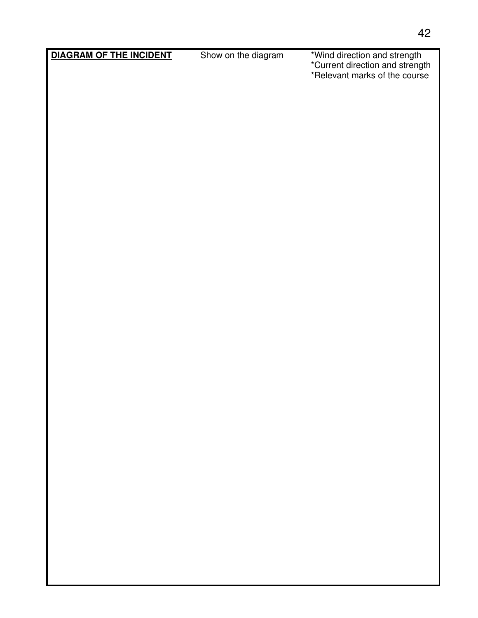**DIAGRAM OF THE INCIDENT** Show on the diagram

\*Current direction and strength \*Relevant marks of the course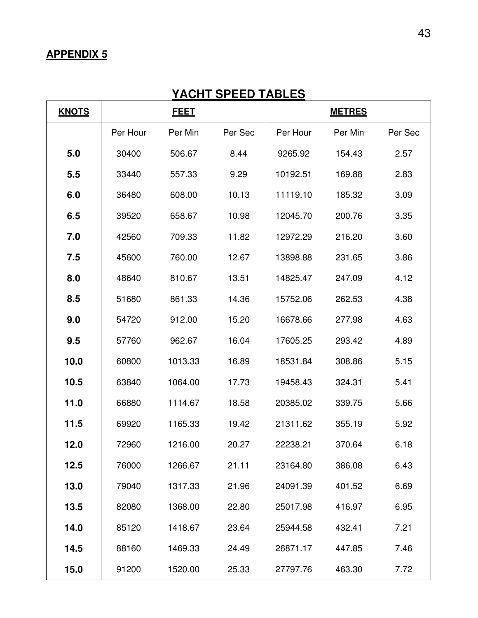## **YACHT SPEED TABLES**

| <b>KNOTS</b> | <b>FEET</b> |         | <b>METRES</b> |          |         |         |
|--------------|-------------|---------|---------------|----------|---------|---------|
|              | Per Hour    | Per Min | Per Sec       | Per Hour | Per Min | Per Sec |
| 5.0          | 30400       | 506.67  | 8.44          | 9265.92  | 154.43  | 2.57    |
| 5.5          | 33440       | 557.33  | 9.29          | 10192.51 | 169.88  | 2.83    |
| 6.0          | 36480       | 608.00  | 10.13         | 11119.10 | 185.32  | 3.09    |
| 6.5          | 39520       | 658.67  | 10.98         | 12045.70 | 200.76  | 3.35    |
| 7.0          | 42560       | 709.33  | 11.82         | 12972.29 | 216.20  | 3.60    |
| 7.5          | 45600       | 760.00  | 12.67         | 13898.88 | 231.65  | 3.86    |
| 8.0          | 48640       | 810.67  | 13.51         | 14825.47 | 247.09  | 4.12    |
| 8.5          | 51680       | 861.33  | 14.36         | 15752.06 | 262.53  | 4.38    |
| 9.0          | 54720       | 912.00  | 15.20         | 16678.66 | 277.98  | 4.63    |
| 9.5          | 57760       | 962.67  | 16.04         | 17605.25 | 293.42  | 4.89    |
| 10.0         | 60800       | 1013.33 | 16.89         | 18531.84 | 308.86  | 5.15    |
| 10.5         | 63840       | 1064.00 | 17.73         | 19458.43 | 324.31  | 5.41    |
| 11.0         | 66880       | 1114.67 | 18.58         | 20385.02 | 339.75  | 5.66    |
| 11.5         | 69920       | 1165.33 | 19.42         | 21311.62 | 355.19  | 5.92    |
| 12.0         | 72960       | 1216.00 | 20.27         | 22238.21 | 370.64  | 6.18    |
| 12.5         | 76000       | 1266.67 | 21.11         | 23164.80 | 386.08  | 6.43    |
| 13.0         | 79040       | 1317.33 | 21.96         | 24091.39 | 401.52  | 6.69    |
| 13.5         | 82080       | 1368.00 | 22.80         | 25017.98 | 416.97  | 6.95    |
| 14.0         | 85120       | 1418.67 | 23.64         | 25944.58 | 432.41  | 7.21    |
| 14.5         | 88160       | 1469.33 | 24.49         | 26871.17 | 447.85  | 7.46    |
| 15.0         | 91200       | 1520.00 | 25.33         | 27797.76 | 463.30  | 7.72    |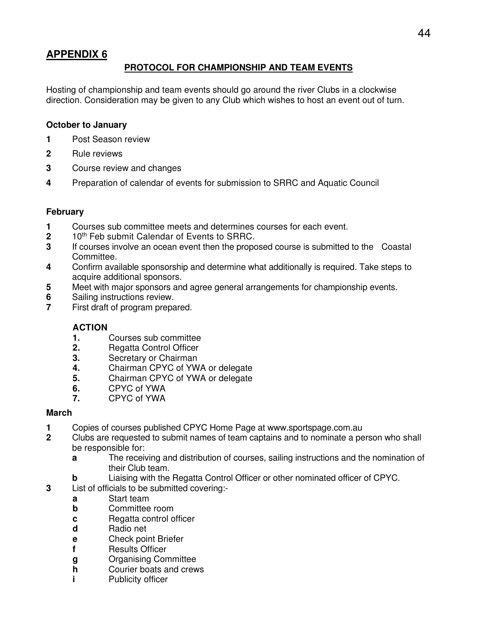## **PROTOCOL FOR CHAMPIONSHIP AND TEAM EVENTS**

Hosting of championship and team events should go around the river Clubs in a clockwise direction. Consideration may be given to any Club which wishes to host an event out of turn.

#### **October to January**

- **1** Post Season review
- **2** Rule reviews
- **3** Course review and changes
- **4** Preparation of calendar of events for submission to SRRC and Aquatic Council

#### **February**

- **1** Courses sub committee meets and determines courses for each event.<br>**2** 10<sup>th</sup> Feb submit Calendar of Events to SRRC.
- 10<sup>th</sup> Feb submit Calendar of Events to SRRC.
- **3** If courses involve an ocean event then the proposed course is submitted to the Coastal Committee.
- **4** Confirm available sponsorship and determine what additionally is required. Take steps to acquire additional sponsors.
- **5** Meet with major sponsors and agree general arrangements for championship events.
- **6** Sailing instructions review.<br>**7** First draft of program prepa
- First draft of program prepared.

#### **ACTION**

- **1.** Courses sub committee
- **2.** Regatta Control Officer
- **3.** Secretary or Chairman
- **4.** Chairman CPYC of YWA or delegate
- **5.** Chairman CPYC of YWA or delegate
- **6.** CPYC of YWA
- **7.** CPYC of YWA

#### **March**

- **1** Copies of courses published CPYC Home Page at www.sportspage.com.au<br>**2** Clubs are requested to submit names of team captains and to nominate a per
- **2** Clubs are requested to submit names of team captains and to nominate a person who shall be responsible for:
	- **a** The receiving and distribution of courses, sailing instructions and the nomination of their Club team.
	- **b** Liaising with the Regatta Control Officer or other nominated officer of CPYC.
- **3** List of officials to be submitted covering:
	- **a** Start team
	- **b Committee room**
	- **c** Regatta control officer
	- **d** Radio net
	- **e** Check point Briefer
	- **f** Results Officer
	- **g** Organising Committee
	- **h** Courier boats and crews
	- **i** Publicity officer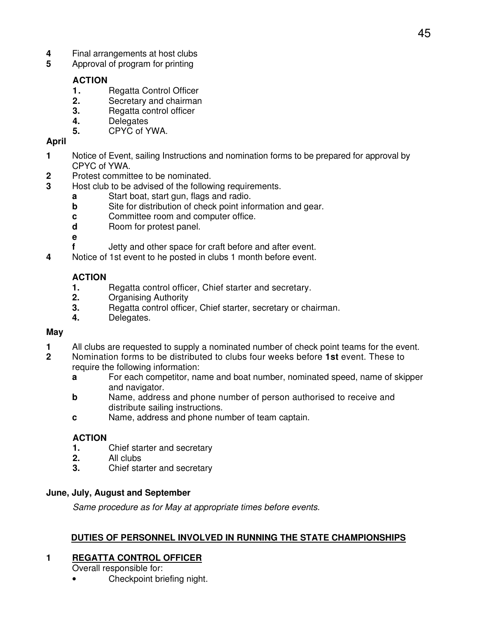- **4** Final arrangements at host clubs<br>**5** Approval of program for printing
- **5** Approval of program for printing

## **ACTION**

- **1.** Regatta Control Officer
- **2.** Secretary and chairman
- **3.** Regatta control officer
- **4.** Delegates
- **5.** CPYC of YWA.

## **April**

- **1** Notice of Event, sailing Instructions and nomination forms to be prepared for approval by CPYC of YWA.
- **2** Protest committee to be nominated.
- **3** Host club to be advised of the following requirements.
	- **a** Start boat, start gun, flags and radio.
	- **b** Site for distribution of check point information and gear.
	- **c c c Committee room and computer office.**
	- **d Room** for protest panel.
	- **e**
	- **f** Jetty and other space for craft before and after event.
- **4** Notice of 1st event to he posted in clubs 1 month before event.

## **ACTION**

- **1.** Regatta control officer, Chief starter and secretary.
- **2.** Organising Authority
- **3.** Regatta control officer, Chief starter, secretary or chairman.
- **4.** Delegates.

#### **May**

- **1** All clubs are requested to supply a nominated number of check point teams for the event.<br>**2** Nomination forms to be distributed to clubs four weeks before **1st** event. These to
- **2** Nomination forms to be distributed to clubs four weeks before **1st** event. These to require the following information:
	- **a For each competitor, name and boat number, nominated speed, name of skipper** and navigator.
	- **b b** Name, address and phone number of person authorised to receive and distribute sailing instructions.
	- **c** Name, address and phone number of team captain.

## **ACTION**

- **1.** Chief starter and secretary
- **2.** All clubs
- **3.** Chief starter and secretary

## **June, July, August and September**

Same procedure as for May at appropriate times before events.

## **DUTIES OF PERSONNEL INVOLVED IN RUNNING THE STATE CHAMPIONSHIPS**

## **1 REGATTA CONTROL OFFICER**

Overall responsible for:

• Checkpoint briefing night.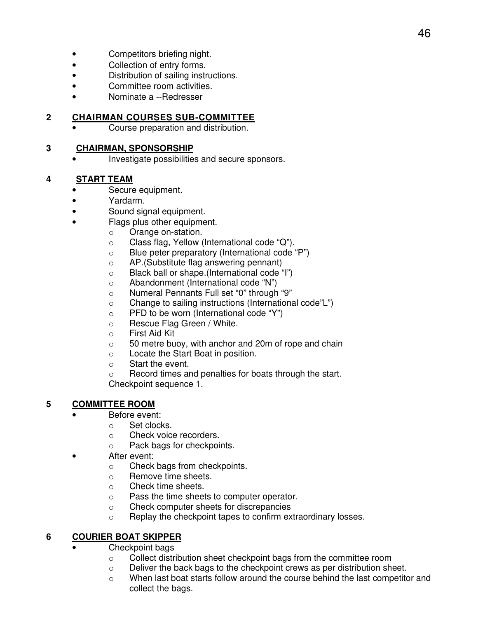- Competitors briefing night.
- Collection of entry forms.
- Distribution of sailing instructions.
- Committee room activities.
- Nominate a --Redresser

## **2 CHAIRMAN COURSES SUB-COMMITTEE**

• Course preparation and distribution.

#### **3 CHAIRMAN, SPONSORSHIP**

• Investigate possibilities and secure sponsors.

## **4 START TEAM**

- Secure equipment.
- Yardarm.
	- Sound signal equipment.
- Flags plus other equipment.
	- o Orange on-station.
	- o Class flag, Yellow (International code "Q").
	- o Blue peter preparatory (International code "P")
	- o AP.(Substitute flag answering pennant)
	- o Black ball or shape.(International code "I")
	- o Abandonment (International code "N")
	- o Numeral Pennants Full set "0" through "9"
	- o Change to sailing instructions (International code"L")
	- o PFD to be worn (International code "Y")
	- o Rescue Flag Green / White.
	- o First Aid Kit
	- o 50 metre buoy, with anchor and 20m of rope and chain
	- o Locate the Start Boat in position.
	- o Start the event.

o Record times and penalties for boats through the start. Checkpoint sequence 1.

## **5 COMMITTEE ROOM**

- Before event:
	- o Set clocks.
	- o Check voice recorders.
	- o Pack bags for checkpoints.
- After event:
	- o Check bags from checkpoints.
	- o Remove time sheets.
	- o Check time sheets.
	- o Pass the time sheets to computer operator.
	- o Check computer sheets for discrepancies
	- o Replay the checkpoint tapes to confirm extraordinary losses.

## **6 COURIER BOAT SKIPPER**

- Checkpoint bags
	- o Collect distribution sheet checkpoint bags from the committee room
	- o Deliver the back bags to the checkpoint crews as per distribution sheet.
	- $\circ$  When last boat starts follow around the course behind the last competitor and collect the bags.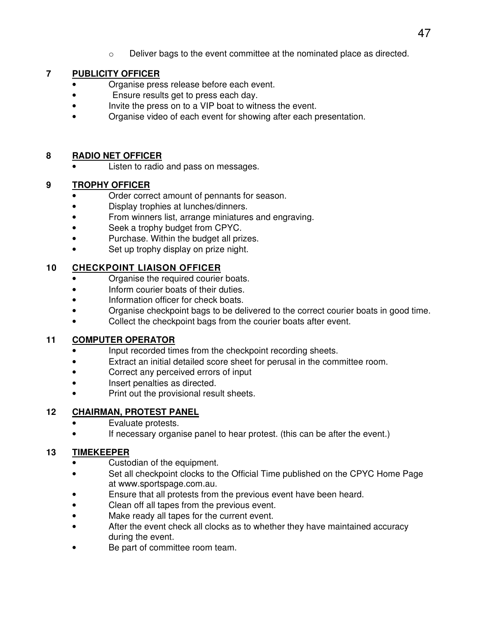$\circ$  Deliver bags to the event committee at the nominated place as directed.

## **7 PUBLICITY OFFICER**

- Organise press release before each event.
- Ensure results get to press each day.
- Invite the press on to a VIP boat to witness the event.
- Organise video of each event for showing after each presentation.

#### **8 RADIO NET OFFICER**

Listen to radio and pass on messages.

#### **9 TROPHY OFFICER**

- Order correct amount of pennants for season.
- Display trophies at lunches/dinners.
- From winners list, arrange miniatures and engraving.
- Seek a trophy budget from CPYC.
- Purchase. Within the budget all prizes.
- Set up trophy display on prize night.

## **10 CHECKPOINT LIAISON OFFICER**

- Organise the required courier boats.
- Inform courier boats of their duties.
- Information officer for check boats.
- Organise checkpoint bags to be delivered to the correct courier boats in good time.
- Collect the checkpoint bags from the courier boats after event.

## **11 COMPUTER OPERATOR**

- Input recorded times from the checkpoint recording sheets.
- Extract an initial detailed score sheet for perusal in the committee room.
- Correct any perceived errors of input
- Insert penalties as directed.
- Print out the provisional result sheets.

## **12 CHAIRMAN, PROTEST PANEL**

- Evaluate protests.
- If necessary organise panel to hear protest. (this can be after the event.)

## **13 TIMEKEEPER**

- Custodian of the equipment.
- Set all checkpoint clocks to the Official Time published on the CPYC Home Page at www.sportspage.com.au.
- Ensure that all protests from the previous event have been heard.
- Clean off all tapes from the previous event.
- Make ready all tapes for the current event.
- After the event check all clocks as to whether they have maintained accuracy during the event.
- Be part of committee room team.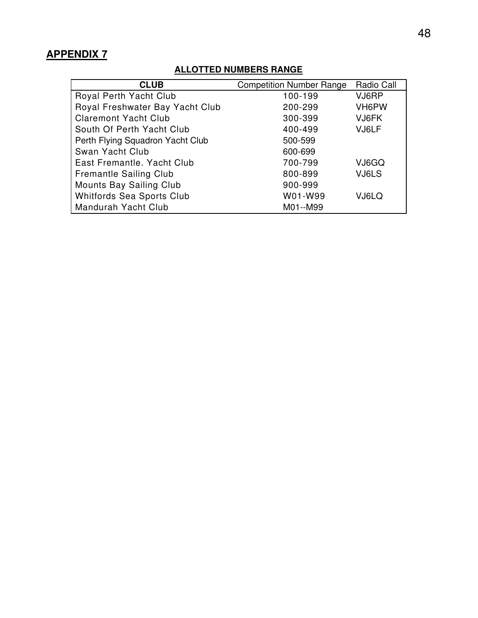## **ALLOTTED NUMBERS RANGE**

| <b>CLUB</b>                      | <b>Competition Number Range</b> | Radio Call |
|----------------------------------|---------------------------------|------------|
| Royal Perth Yacht Club           | 100-199                         | VJ6RP      |
| Royal Freshwater Bay Yacht Club  | 200-299                         | VH6PW      |
| <b>Claremont Yacht Club</b>      | 300-399                         | VJ6FK      |
| South Of Perth Yacht Club        | 400-499                         | VJ6LF      |
| Perth Flying Squadron Yacht Club | 500-599                         |            |
| Swan Yacht Club                  | 600-699                         |            |
| East Fremantle, Yacht Club       | 700-799                         | VJ6GQ      |
| <b>Fremantle Sailing Club</b>    | 800-899                         | VJ6LS      |
| Mounts Bay Sailing Club          | 900-999                         |            |
| Whitfords Sea Sports Club        | W01-W99                         | VJ6LQ      |
| Mandurah Yacht Club              | M01--M99                        |            |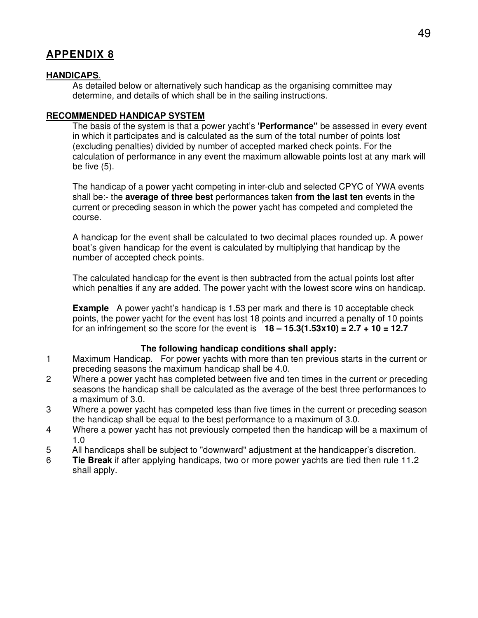#### **HANDICAPS**.

As detailed below or alternatively such handicap as the organising committee may determine, and details of which shall be in the sailing instructions.

#### **RECOMMENDED HANDICAP SYSTEM**

The basis of the system is that a power yacht's **'Performance"** be assessed in every event in which it participates and is calculated as the sum of the total number of points lost (excluding penalties) divided by number of accepted marked check points. For the calculation of performance in any event the maximum allowable points lost at any mark will be five (5).

The handicap of a power yacht competing in inter-club and selected CPYC of YWA events shall be:- the **average of three best** performances taken **from the last ten** events in the current or preceding season in which the power yacht has competed and completed the course.

A handicap for the event shall be calculated to two decimal places rounded up. A power boat's given handicap for the event is calculated by multiplying that handicap by the number of accepted check points.

The calculated handicap for the event is then subtracted from the actual points lost after which penalties if any are added. The power yacht with the lowest score wins on handicap.

**Example** A power yacht's handicap is 1.53 per mark and there is 10 acceptable check points, the power yacht for the event has lost 18 points and incurred a penalty of 10 points for an infringement so the score for the event is **18 – 15.3(1.53x10) = 2.7 + 10 = 12.7** 

#### **The following handicap conditions shall apply:**

- 1 Maximum Handicap. For power yachts with more than ten previous starts in the current or preceding seasons the maximum handicap shall be 4.0.
- 2 Where a power yacht has completed between five and ten times in the current or preceding seasons the handicap shall be calculated as the average of the best three performances to a maximum of 3.0.
- 3 Where a power yacht has competed less than five times in the current or preceding season the handicap shall be equal to the best performance to a maximum of 3.0.
- 4 Where a power yacht has not previously competed then the handicap will be a maximum of 1.0
- 5 All handicaps shall be subject to "downward" adjustment at the handicapper's discretion.
- 6 **Tie Break** if after applying handicaps, two or more power yachts are tied then rule 11.2 shall apply.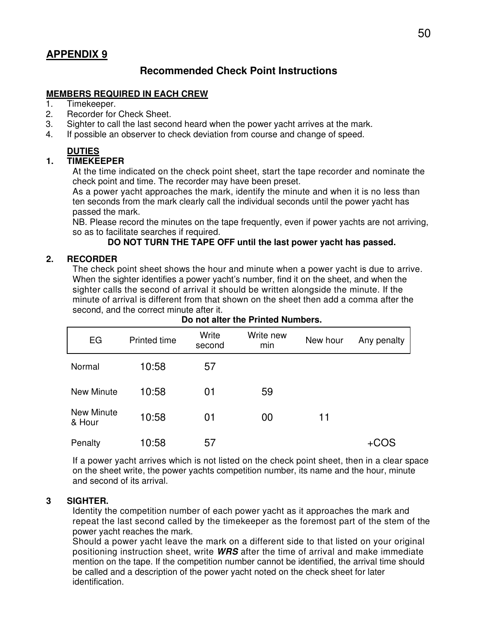## **Recommended Check Point Instructions**

#### **MEMBERS REQUIRED IN EACH CREW**

- 1. Timekeeper.
- 2. Recorder for Check Sheet.
- 3. Sighter to call the last second heard when the power yacht arrives at the mark.
- 4. If possible an observer to check deviation from course and change of speed.

## **DUTIES**

#### **1. TIMEKEEPER**

At the time indicated on the check point sheet, start the tape recorder and nominate the check point and time. The recorder may have been preset.

As a power yacht approaches the mark, identify the minute and when it is no less than ten seconds from the mark clearly call the individual seconds until the power yacht has passed the mark.

NB. Please record the minutes on the tape frequently, even if power yachts are not arriving, so as to facilitate searches if required.

#### **DO NOT TURN THE TAPE OFF until the last power yacht has passed.**

#### **2. RECORDER**

The check point sheet shows the hour and minute when a power yacht is due to arrive. When the sighter identifies a power yacht's number, find it on the sheet, and when the sighter calls the second of arrival it should be written alongside the minute. If the minute of arrival is different from that shown on the sheet then add a comma after the second, and the correct minute after it.

| EG                          | <b>Printed time</b> | Write<br>second | Write new<br>min | New hour | Any penalty |
|-----------------------------|---------------------|-----------------|------------------|----------|-------------|
| Normal                      | 10:58               | 57              |                  |          |             |
| <b>New Minute</b>           | 10:58               | 01              | 59               |          |             |
| <b>New Minute</b><br>& Hour | 10:58               | 01              | 00               | 11       |             |
| Penalty                     | 10:58               | 57              |                  |          | +COS        |

#### **Do not alter the Printed Numbers.**

If a power yacht arrives which is not listed on the check point sheet, then in a clear space on the sheet write, the power yachts competition number, its name and the hour, minute and second of its arrival.

#### **3 SIGHTER.**

Identity the competition number of each power yacht as it approaches the mark and repeat the last second called by the timekeeper as the foremost part of the stem of the power yacht reaches the mark.

Should a power yacht leave the mark on a different side to that listed on your original positioning instruction sheet, write **WRS** after the time of arrival and make immediate mention on the tape. If the competition number cannot be identified, the arrival time should be called and a description of the power yacht noted on the check sheet for later identification.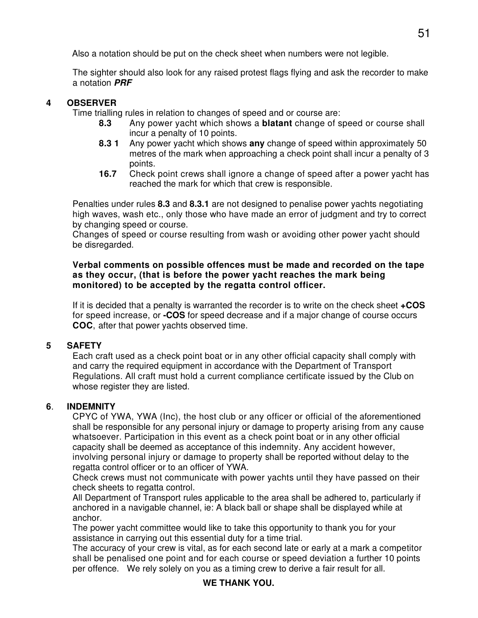Also a notation should be put on the check sheet when numbers were not legible.

The sighter should also look for any raised protest flags flying and ask the recorder to make a notation **PRF** 

## **4 OBSERVER**

Time trialling rules in relation to changes of speed and or course are:

- **8.3** Any power yacht which shows a **blatant** change of speed or course shall incur a penalty of 10 points.
- **8.3 1** Any power yacht which shows **any** change of speed within approximately 50 metres of the mark when approaching a check point shall incur a penalty of 3 points.
- **16.7** Check point crews shall ignore a change of speed after a power yacht has reached the mark for which that crew is responsible.

Penalties under rules **8.3** and **8.3.1** are not designed to penalise power yachts negotiating high waves, wash etc., only those who have made an error of judgment and try to correct by changing speed or course.

Changes of speed or course resulting from wash or avoiding other power yacht should be disregarded.

#### **Verbal comments on possible offences must be made and recorded on the tape as they occur, (that is before the power yacht reaches the mark being monitored) to be accepted by the regatta control officer.**

If it is decided that a penalty is warranted the recorder is to write on the check sheet **+COS** for speed increase, or **-COS** for speed decrease and if a major change of course occurs **COC**, after that power yachts observed time.

## **5 SAFETY**

Each craft used as a check point boat or in any other official capacity shall comply with and carry the required equipment in accordance with the Department of Transport Regulations. All craft must hold a current compliance certificate issued by the Club on whose register they are listed.

## **6**. **INDEMNITY**

CPYC of YWA, YWA (Inc), the host club or any officer or official of the aforementioned shall be responsible for any personal injury or damage to property arising from any cause whatsoever. Participation in this event as a check point boat or in any other official capacity shall be deemed as acceptance of this indemnity. Any accident however, involving personal injury or damage to property shall be reported without delay to the regatta control officer or to an officer of YWA.

Check crews must not communicate with power yachts until they have passed on their check sheets to regatta control.

All Department of Transport rules applicable to the area shall be adhered to, particularly if anchored in a navigable channel, ie: A black ball or shape shall be displayed while at anchor.

The power yacht committee would like to take this opportunity to thank you for your assistance in carrying out this essential duty for a time trial.

The accuracy of your crew is vital, as for each second late or early at a mark a competitor shall be penalised one point and for each course or speed deviation a further 10 points per offence. We rely solely on you as a timing crew to derive a fair result for all.

## **WE THANK YOU.**